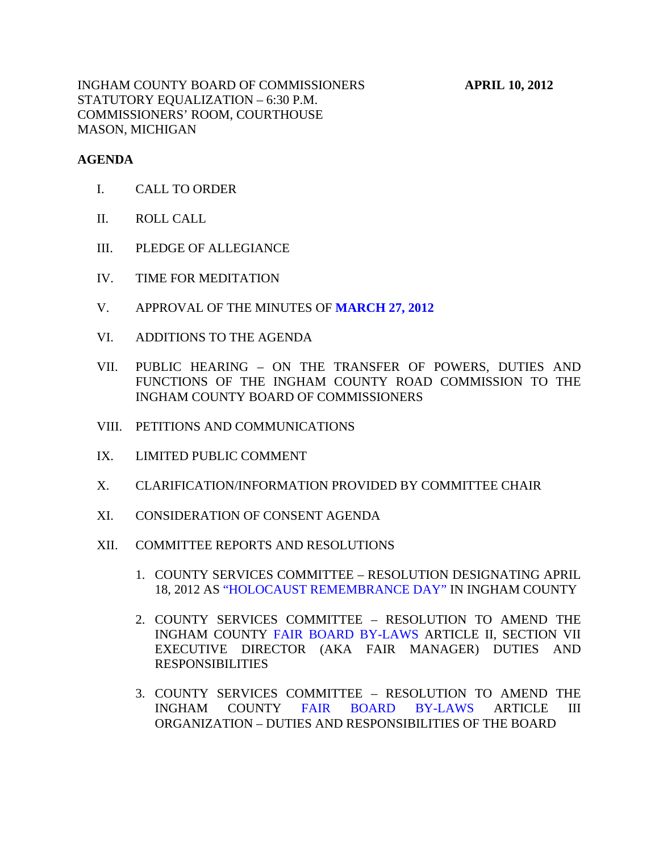#### **AGENDA**

- I. CALL TO ORDER
- II. ROLL CALL
- III. PLEDGE OF ALLEGIANCE
- IV. TIME FOR MEDITATION
- V. APPROVAL OF THE MINUTES OF **[MARCH 27, 2012](#page-4-0)**
- VI. ADDITIONS TO THE AGENDA
- VII. PUBLIC HEARING ON THE TRANSFER OF POWERS, DUTIES AND FUNCTIONS OF THE INGHAM COUNTY ROAD COMMISSION TO THE INGHAM COUNTY BOARD OF COMMISSIONERS
- VIII. PETITIONS AND COMMUNICATIONS
- IX. LIMITED PUBLIC COMMENT
- X. CLARIFICATION/INFORMATION PROVIDED BY COMMITTEE CHAIR
- XI. CONSIDERATION OF CONSENT AGENDA
- XII. COMMITTEE REPORTS AND RESOLUTIONS
	- 1. COUNTY S[ERVICES COMMITTEE RESOLUTION DE](#page-21-0)SIGNATING APRIL 18, 2012 AS "HOLOCAUST REMEMBRANCE DAY" IN INGHAM COUNTY
	- 2. COUNTY SERVICES COMMITTEE RESOLUTION TO AMEND THE INGHAM COUNT[Y FAIR BOARD BY-LAWS ARTIC](#page-22-0)LE II, SECTION VII EXECUTIVE DIRECTOR (AKA FAIR MANAGER) DUTIES AND RESPONSIBILITIES
	- 3. COUNTY SERVICES COMMITTEE RESOLUTION TO AMEND THE INGHAM COUNT[Y FAIR BOARD BY-LAWS A](#page-23-0)RTICLE III ORGANIZATION – DUTIES AND RESPONSIBILITIES OF THE BOARD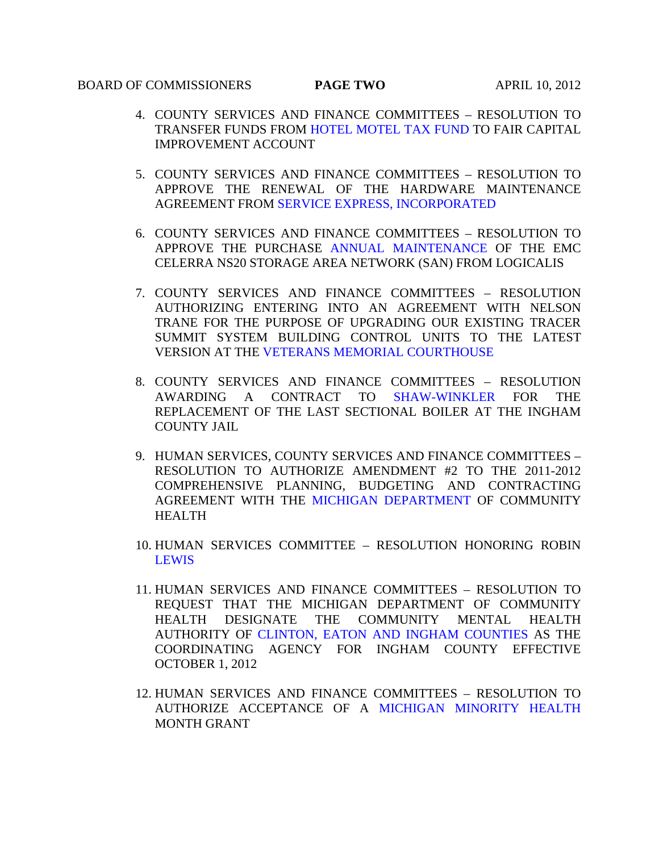# BOARD OF COMMISSIONERS **PAGE TWO** APRIL 10, 2012

- 4. COUNTY SERVICES AND FINANCE COMMITTEES RESOLUTION TO TRANSFER FUNDS F[ROM HOTEL MOTEL TAX FUND TO FAIR](#page-24-0) CAPITAL IMPROVEMENT ACCOUNT
- 5. COUNTY SERVICES AND FINANCE COMMITTEES RESOLUTION TO APPROVE THE [RENEWAL OF THE HARDWARE MAIN](#page-26-0)TENANCE AGREEMENT FROM SERVICE EXPRESS, INCORPORATED
- 6. COUNTY SERVICES AND FINANCE COMMITTEES RESOLUTION TO APPROVE THE PURCHAS[E ANNUAL MAINTENANCE O](#page-27-0)F THE EMC CELERRA NS20 STORAGE AREA NETWORK (SAN) FROM LOGICALIS
- 7. COUNTY SERVICES AND FINANCE COMMITTEES RESOLUTION AUTHORIZING ENTERING INTO AN AGREEMENT WITH NELSON TRANE FOR THE PURPOSE OF UPGRADING OUR EXISTING TRACER SUMMIT SYSTEM BUILDING CONTROL UNITS TO THE LATEST VERSION AT T[HE VETERANS MEMORIAL COURTHOUSE](#page-28-0)
- 8. COUNTY SERVICES AND FINANCE COMMITTEES RESOLUTION AWARDING A CONTRACT TO [SHAW-WINKLER](#page-29-0) FOR THE REPLACEMENT OF THE LAST SECTIONAL BOILER AT THE INGHAM COUNTY JAIL
- 9. HUMAN SERVICES, COUNTY SERVICES AND FINANCE COMMITTEES RESOLUTION TO AUTHORIZE AMENDMENT #2 TO THE 2011-2012 COMPREHENSIVE PLANNING, BUDGETING AND CONTRACTING AGREEMENT WITH T[HE MICHIGAN DEPARTMENT OF CO](#page-30-0)MMUNITY HEALTH
- 10. HUMAN SERVICES COMMITTEE RESOLUTION HONORING ROBIN [LEWIS](#page-32-0)
- 11. HUMAN SERVICES AND FINANCE COMMITTEES RESOLUTION TO REQUEST THAT THE MICHIGAN DEPARTMENT OF COMMUNITY HEALTH DE[SIGNATE THE COMMUNITY MENTAL HEALTH](#page-33-0)  AUTHORITY OF CLINTON, EATON AND INGHAM COUNTIES AS THE COORDINATING AGENCY FOR INGHAM COUNTY EFFECTIVE OCTOBER 1, 2012
- 12. HUMAN SERVICES AND FINANCE COMMITTEES RESOLUTION TO AUTHORIZE ACCEPTANCE OF [A MICHIGAN MINORITY HEALTH](#page-34-0) MONTH GRANT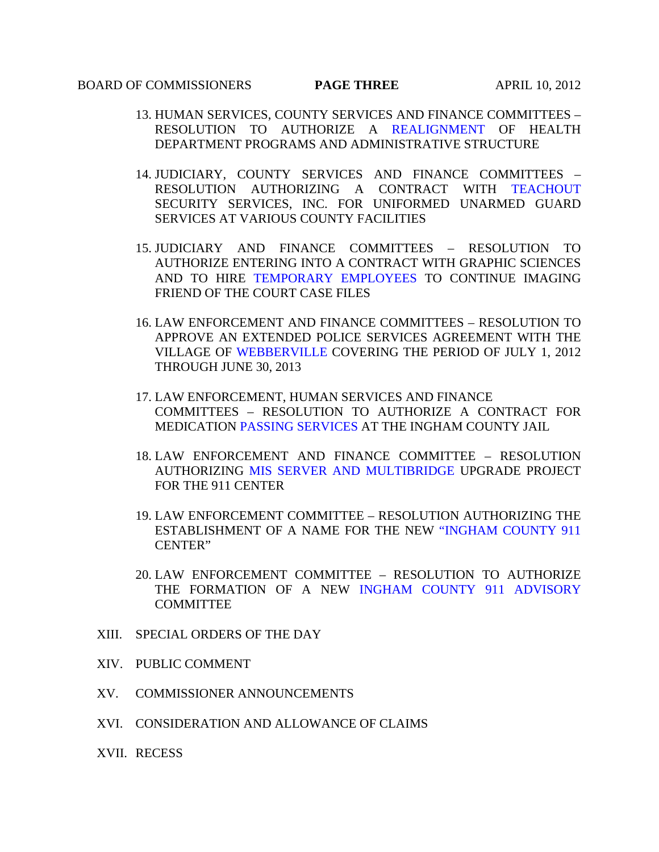# **BOARD OF COMMISSIONERS PAGE THREE APRIL 10, 2012**

- 13. HUMAN SERVICES, COUNTY SERV[ICES AND FINANCE COMMITT](#page-35-0)EES RESOLUTION TO AUTHORIZE A REALIGNMENT OF HEALTH DEPARTMENT PROGRAMS AND ADMINISTRATIVE STRUCTURE
- 14. JUDICIARY, COUNTY SERVICES AND FINANCE COMMITTEES RESOLUTION AUTHORIZING A CONTRACT WITH TEACHOUT SECURITY SERVICES, INC. FOR UNIFORMED UNA[RMED GUARD](#page-38-0)  SERVICES AT VARIOUS COUNTY FACILITIES
- 15. JUDICIARY AND FINANCE COMMITTEES RESOLUTION TO AUTHORIZE ENTERING INTO A CONTRACT WITH GRAPHIC SCIENCES AND TO HIRE [TEMPORARY EMPLOYEES T](#page-39-0)O CONTINUE IMAGING FRIEND OF THE COURT CASE FILES
- 16. LAW ENFORCEMENT AND FINANCE COMMITTEES RESOLUTION TO APPROVE AN EXTENDED POLICE SERVICES AGREEMENT WITH THE VILLAGE O[F WEBBERVILLE COV](#page-41-0)ERING THE PERIOD OF JULY 1, 2012 THROUGH JUNE 30, 2013
- 17. LAW ENFORCEMENT, HUMAN SERVICES AND FINANCE COMMITTEES – RESOLUTION TO AUTHORIZE A CONTRACT FOR MEDICATIO[N PASSING SERVICES AT](#page-42-0) THE INGHAM COUNTY JAIL
- 18. LAW ENFORCEMENT AND FINANCE COMMITTEE RESOLUTION AUTHORIZIN[G MIS SERVER AND MULTIBRIDGE UPGRAD](#page-44-0)E PROJECT FOR THE 911 CENTER
- 19. LAW ENFORCEMENT COMMITTEE RESOLUTION AUTHORIZING THE ESTABLISHMENT OF A NAME FOR THE NE[W "INGHAM COUNTY 911](#page-45-0) CENTER"
- 20. LAW ENFORCEMENT COMMITTEE RESOLUTION TO AUTHORIZE THE FORMATION OF A NEW [INGHAM COUNTY 911 ADVISORY](#page-46-0) COMMITTEE
- XIII. SPECIAL ORDERS OF THE DAY
- XIV. PUBLIC COMMENT
- XV. COMMISSIONER ANNOUNCEMENTS
- XVI. CONSIDERATION AND ALLOWANCE OF CLAIMS
- XVII. RECESS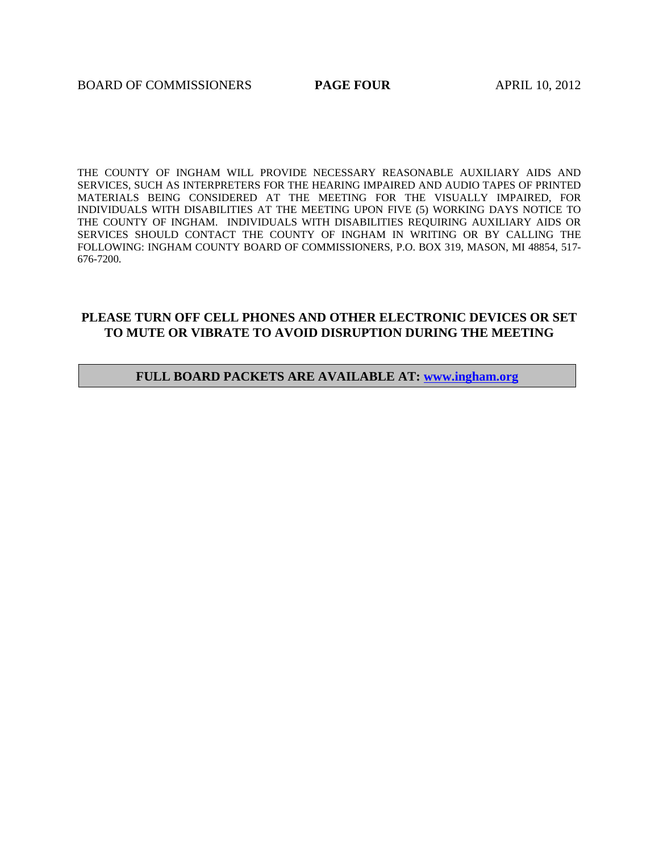THE COUNTY OF INGHAM WILL PROVIDE NECESSARY REASONABLE AUXILIARY AIDS AND SERVICES, SUCH AS INTERPRETERS FOR THE HEARING IMPAIRED AND AUDIO TAPES OF PRINTED MATERIALS BEING CONSIDERED AT THE MEETING FOR THE VISUALLY IMPAIRED, FOR INDIVIDUALS WITH DISABILITIES AT THE MEETING UPON FIVE (5) WORKING DAYS NOTICE TO THE COUNTY OF INGHAM. INDIVIDUALS WITH DISABILITIES REQUIRING AUXILIARY AIDS OR SERVICES SHOULD CONTACT THE COUNTY OF INGHAM IN WRITING OR BY CALLING THE FOLLOWING: INGHAM COUNTY BOARD OF COMMISSIONERS, P.O. BOX 319, MASON, MI 48854, 517- 676-7200.

# **PLEASE TURN OFF CELL PHONES AND OTHER ELECTRONIC DEVICES OR SET TO MUTE OR VIBRATE TO AVOID DISRUPTION DURING THE MEETING**

#### **FULL BOARD PACKETS ARE AVAILABLE AT: www.ingham.org**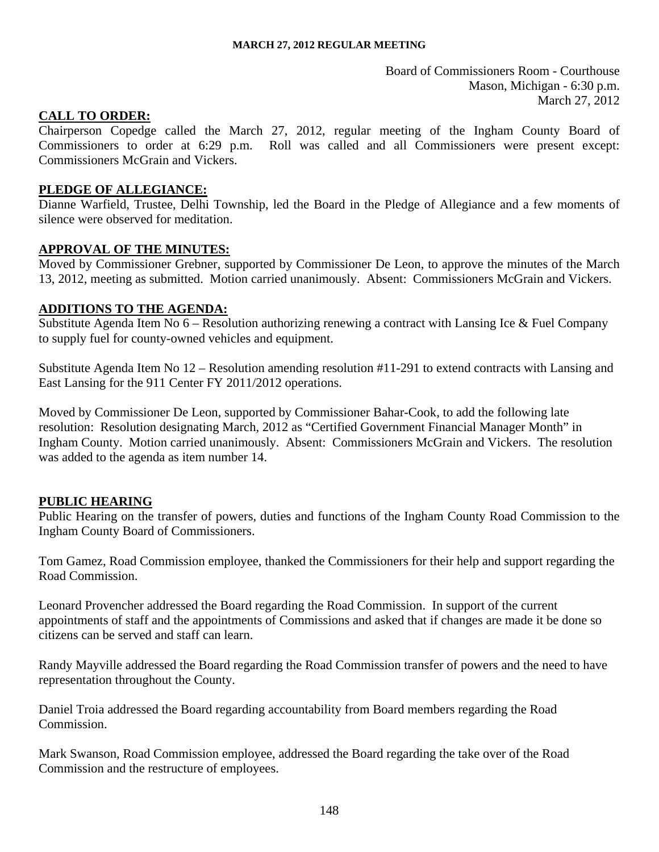Board of Commissioners Room - Courthouse Mason, Michigan - 6:30 p.m. March 27, 2012

#### <span id="page-4-0"></span>**CALL TO ORDER:**

Chairperson Copedge called the March 27, 2012, regular meeting of the Ingham County Board of Commissioners to order at 6:29 p.m. Roll was called and all Commissioners were present except: Commissioners McGrain and Vickers.

#### **PLEDGE OF ALLEGIANCE:**

Dianne Warfield, Trustee, Delhi Township, led the Board in the Pledge of Allegiance and a few moments of silence were observed for meditation.

#### **APPROVAL OF THE MINUTES:**

Moved by Commissioner Grebner, supported by Commissioner De Leon, to approve the minutes of the March 13, 2012, meeting as submitted. Motion carried unanimously. Absent: Commissioners McGrain and Vickers.

#### **ADDITIONS TO THE AGENDA:**

Substitute Agenda Item No 6 – Resolution authorizing renewing a contract with Lansing Ice & Fuel Company to supply fuel for county-owned vehicles and equipment.

Substitute Agenda Item No 12 – Resolution amending resolution #11-291 to extend contracts with Lansing and East Lansing for the 911 Center FY 2011/2012 operations.

Moved by Commissioner De Leon, supported by Commissioner Bahar-Cook, to add the following late resolution: Resolution designating March, 2012 as "Certified Government Financial Manager Month" in Ingham County. Motion carried unanimously. Absent: Commissioners McGrain and Vickers. The resolution was added to the agenda as item number 14.

# **PUBLIC HEARING**

Public Hearing on the transfer of powers, duties and functions of the Ingham County Road Commission to the Ingham County Board of Commissioners.

Tom Gamez, Road Commission employee, thanked the Commissioners for their help and support regarding the Road Commission.

Leonard Provencher addressed the Board regarding the Road Commission. In support of the current appointments of staff and the appointments of Commissions and asked that if changes are made it be done so citizens can be served and staff can learn.

Randy Mayville addressed the Board regarding the Road Commission transfer of powers and the need to have representation throughout the County.

Daniel Troia addressed the Board regarding accountability from Board members regarding the Road Commission.

Mark Swanson, Road Commission employee, addressed the Board regarding the take over of the Road Commission and the restructure of employees.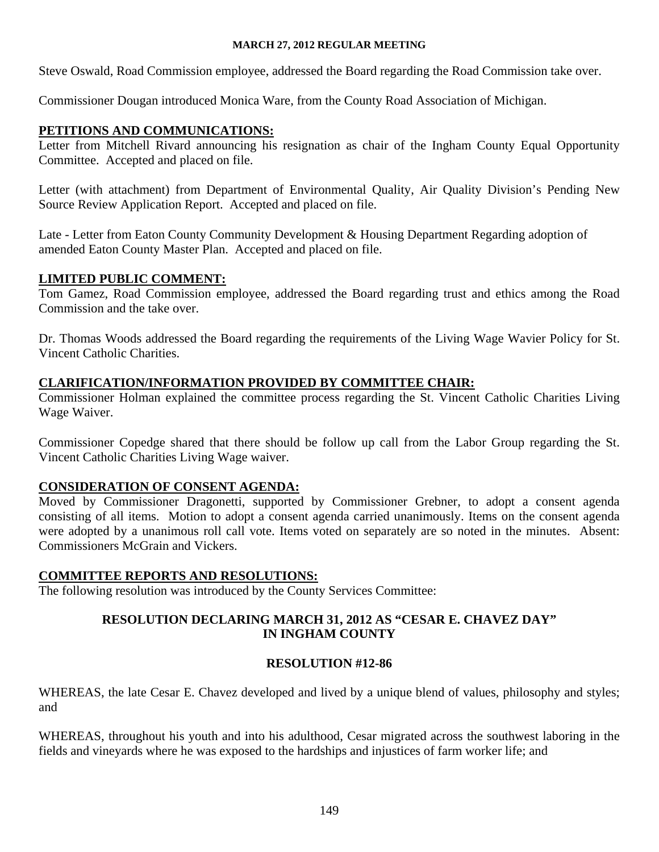Steve Oswald, Road Commission employee, addressed the Board regarding the Road Commission take over.

Commissioner Dougan introduced Monica Ware, from the County Road Association of Michigan.

# **PETITIONS AND COMMUNICATIONS:**

Letter from Mitchell Rivard announcing his resignation as chair of the Ingham County Equal Opportunity Committee. Accepted and placed on file.

Letter (with attachment) from Department of Environmental Quality, Air Quality Division's Pending New Source Review Application Report. Accepted and placed on file.

Late - Letter from Eaton County Community Development & Housing Department Regarding adoption of amended Eaton County Master Plan. Accepted and placed on file.

# **LIMITED PUBLIC COMMENT:**

Tom Gamez, Road Commission employee, addressed the Board regarding trust and ethics among the Road Commission and the take over.

Dr. Thomas Woods addressed the Board regarding the requirements of the Living Wage Wavier Policy for St. Vincent Catholic Charities.

# **CLARIFICATION/INFORMATION PROVIDED BY COMMITTEE CHAIR:**

Commissioner Holman explained the committee process regarding the St. Vincent Catholic Charities Living Wage Waiver.

Commissioner Copedge shared that there should be follow up call from the Labor Group regarding the St. Vincent Catholic Charities Living Wage waiver.

# **CONSIDERATION OF CONSENT AGENDA:**

Moved by Commissioner Dragonetti, supported by Commissioner Grebner, to adopt a consent agenda consisting of all items. Motion to adopt a consent agenda carried unanimously. Items on the consent agenda were adopted by a unanimous roll call vote. Items voted on separately are so noted in the minutes. Absent: Commissioners McGrain and Vickers.

# **COMMITTEE REPORTS AND RESOLUTIONS:**

The following resolution was introduced by the County Services Committee:

# **RESOLUTION DECLARING MARCH 31, 2012 AS "CESAR E. CHAVEZ DAY" IN INGHAM COUNTY**

# **RESOLUTION #12-86**

WHEREAS, the late Cesar E. Chavez developed and lived by a unique blend of values, philosophy and styles; and

WHEREAS, throughout his youth and into his adulthood, Cesar migrated across the southwest laboring in the fields and vineyards where he was exposed to the hardships and injustices of farm worker life; and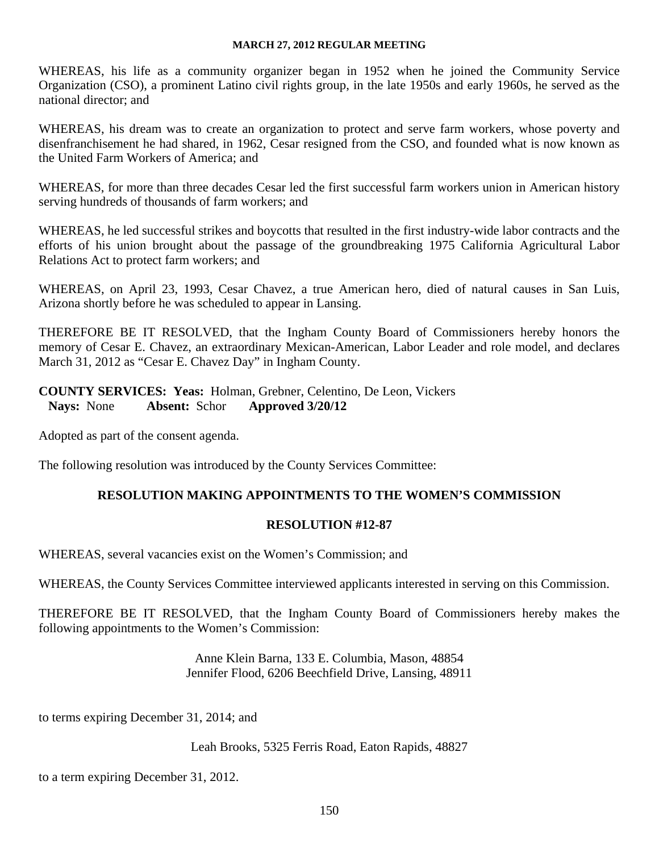WHEREAS, his life as a community organizer began in 1952 when he joined the Community Service Organization (CSO), a prominent Latino civil rights group, in the late 1950s and early 1960s, he served as the national director; and

WHEREAS, his dream was to create an organization to protect and serve farm workers, whose poverty and disenfranchisement he had shared, in 1962, Cesar resigned from the CSO, and founded what is now known as the United Farm Workers of America; and

WHEREAS, for more than three decades Cesar led the first successful farm workers union in American history serving hundreds of thousands of farm workers; and

WHEREAS, he led successful strikes and boycotts that resulted in the first industry-wide labor contracts and the efforts of his union brought about the passage of the groundbreaking 1975 California Agricultural Labor Relations Act to protect farm workers; and

WHEREAS, on April 23, 1993, Cesar Chavez, a true American hero, died of natural causes in San Luis, Arizona shortly before he was scheduled to appear in Lansing.

THEREFORE BE IT RESOLVED, that the Ingham County Board of Commissioners hereby honors the memory of Cesar E. Chavez, an extraordinary Mexican-American, Labor Leader and role model, and declares March 31, 2012 as "Cesar E. Chavez Day" in Ingham County.

**COUNTY SERVICES: Yeas:** Holman, Grebner, Celentino, De Leon, Vickers **Nays:** None **Absent:** Schor **Approved 3/20/12** 

Adopted as part of the consent agenda.

The following resolution was introduced by the County Services Committee:

# **RESOLUTION MAKING APPOINTMENTS TO THE WOMEN'S COMMISSION**

# **RESOLUTION #12-87**

WHEREAS, several vacancies exist on the Women's Commission; and

WHEREAS, the County Services Committee interviewed applicants interested in serving on this Commission.

THEREFORE BE IT RESOLVED, that the Ingham County Board of Commissioners hereby makes the following appointments to the Women's Commission:

> Anne Klein Barna, 133 E. Columbia, Mason, 48854 Jennifer Flood, 6206 Beechfield Drive, Lansing, 48911

to terms expiring December 31, 2014; and

Leah Brooks, 5325 Ferris Road, Eaton Rapids, 48827

to a term expiring December 31, 2012.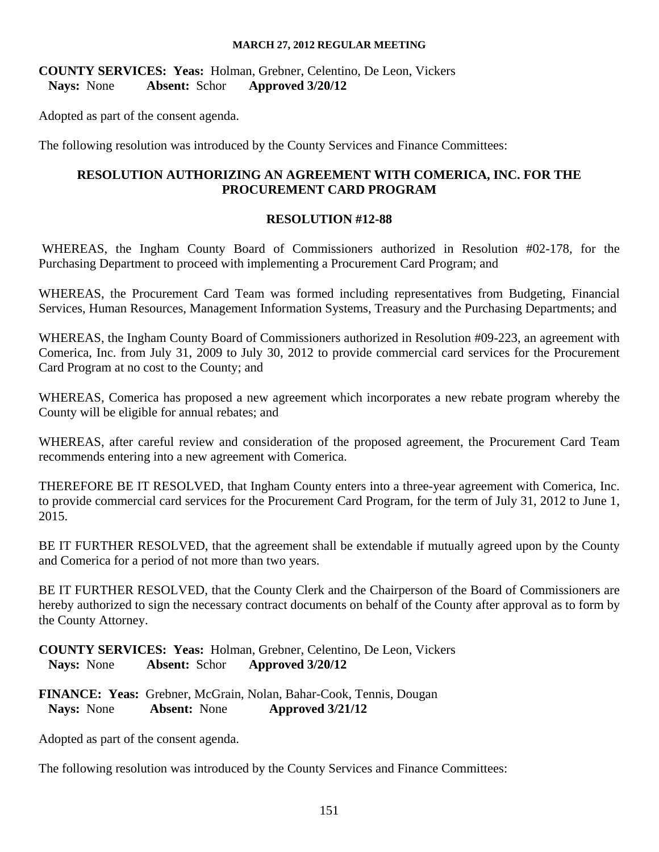**COUNTY SERVICES: Yeas:** Holman, Grebner, Celentino, De Leon, Vickers **Nays:** None **Absent:** Schor **Approved 3/20/12** 

Adopted as part of the consent agenda.

The following resolution was introduced by the County Services and Finance Committees:

# **RESOLUTION AUTHORIZING AN AGREEMENT WITH COMERICA, INC. FOR THE PROCUREMENT CARD PROGRAM**

#### **RESOLUTION #12-88**

WHEREAS, the Ingham County Board of Commissioners authorized in Resolution #02-178, for the Purchasing Department to proceed with implementing a Procurement Card Program; and

WHEREAS, the Procurement Card Team was formed including representatives from Budgeting, Financial Services, Human Resources, Management Information Systems, Treasury and the Purchasing Departments; and

WHEREAS, the Ingham County Board of Commissioners authorized in Resolution #09-223, an agreement with Comerica, Inc. from July 31, 2009 to July 30, 2012 to provide commercial card services for the Procurement Card Program at no cost to the County; and

WHEREAS, Comerica has proposed a new agreement which incorporates a new rebate program whereby the County will be eligible for annual rebates; and

WHEREAS, after careful review and consideration of the proposed agreement, the Procurement Card Team recommends entering into a new agreement with Comerica.

THEREFORE BE IT RESOLVED, that Ingham County enters into a three-year agreement with Comerica, Inc. to provide commercial card services for the Procurement Card Program, for the term of July 31, 2012 to June 1, 2015.

BE IT FURTHER RESOLVED, that the agreement shall be extendable if mutually agreed upon by the County and Comerica for a period of not more than two years.

BE IT FURTHER RESOLVED, that the County Clerk and the Chairperson of the Board of Commissioners are hereby authorized to sign the necessary contract documents on behalf of the County after approval as to form by the County Attorney.

**COUNTY SERVICES: Yeas:** Holman, Grebner, Celentino, De Leon, Vickers **Nays:** None **Absent:** Schor **Approved 3/20/12** 

**FINANCE: Yeas:** Grebner, McGrain, Nolan, Bahar-Cook, Tennis, Dougan  **Nays:** None **Absent:** None **Approved 3/21/12** 

Adopted as part of the consent agenda.

The following resolution was introduced by the County Services and Finance Committees: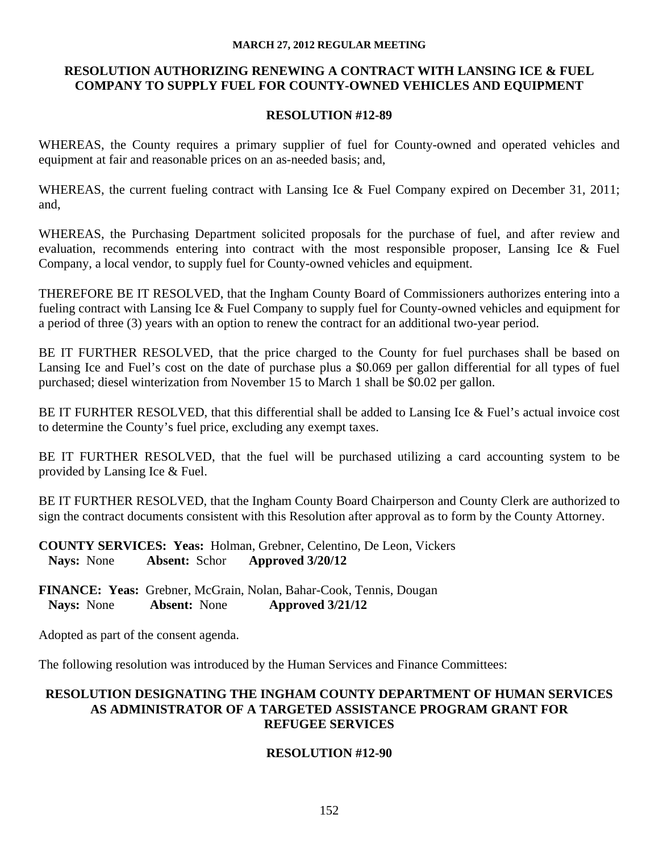## **RESOLUTION AUTHORIZING RENEWING A CONTRACT WITH LANSING ICE & FUEL COMPANY TO SUPPLY FUEL FOR COUNTY-OWNED VEHICLES AND EQUIPMENT**

#### **RESOLUTION #12-89**

WHEREAS, the County requires a primary supplier of fuel for County-owned and operated vehicles and equipment at fair and reasonable prices on an as-needed basis; and,

WHEREAS, the current fueling contract with Lansing Ice & Fuel Company expired on December 31, 2011; and,

WHEREAS, the Purchasing Department solicited proposals for the purchase of fuel, and after review and evaluation, recommends entering into contract with the most responsible proposer, Lansing Ice & Fuel Company, a local vendor, to supply fuel for County-owned vehicles and equipment.

THEREFORE BE IT RESOLVED, that the Ingham County Board of Commissioners authorizes entering into a fueling contract with Lansing Ice & Fuel Company to supply fuel for County-owned vehicles and equipment for a period of three (3) years with an option to renew the contract for an additional two-year period.

BE IT FURTHER RESOLVED, that the price charged to the County for fuel purchases shall be based on Lansing Ice and Fuel's cost on the date of purchase plus a \$0.069 per gallon differential for all types of fuel purchased; diesel winterization from November 15 to March 1 shall be \$0.02 per gallon.

BE IT FURHTER RESOLVED, that this differential shall be added to Lansing Ice & Fuel's actual invoice cost to determine the County's fuel price, excluding any exempt taxes.

BE IT FURTHER RESOLVED, that the fuel will be purchased utilizing a card accounting system to be provided by Lansing Ice & Fuel.

BE IT FURTHER RESOLVED, that the Ingham County Board Chairperson and County Clerk are authorized to sign the contract documents consistent with this Resolution after approval as to form by the County Attorney.

**COUNTY SERVICES: Yeas:** Holman, Grebner, Celentino, De Leon, Vickers **Nays:** None **Absent:** Schor **Approved 3/20/12** 

**FINANCE: Yeas:** Grebner, McGrain, Nolan, Bahar-Cook, Tennis, Dougan  **Nays:** None **Absent:** None **Approved 3/21/12** 

Adopted as part of the consent agenda.

The following resolution was introduced by the Human Services and Finance Committees:

# **RESOLUTION DESIGNATING THE INGHAM COUNTY DEPARTMENT OF HUMAN SERVICES AS ADMINISTRATOR OF A TARGETED ASSISTANCE PROGRAM GRANT FOR REFUGEE SERVICES**

# **RESOLUTION #12-90**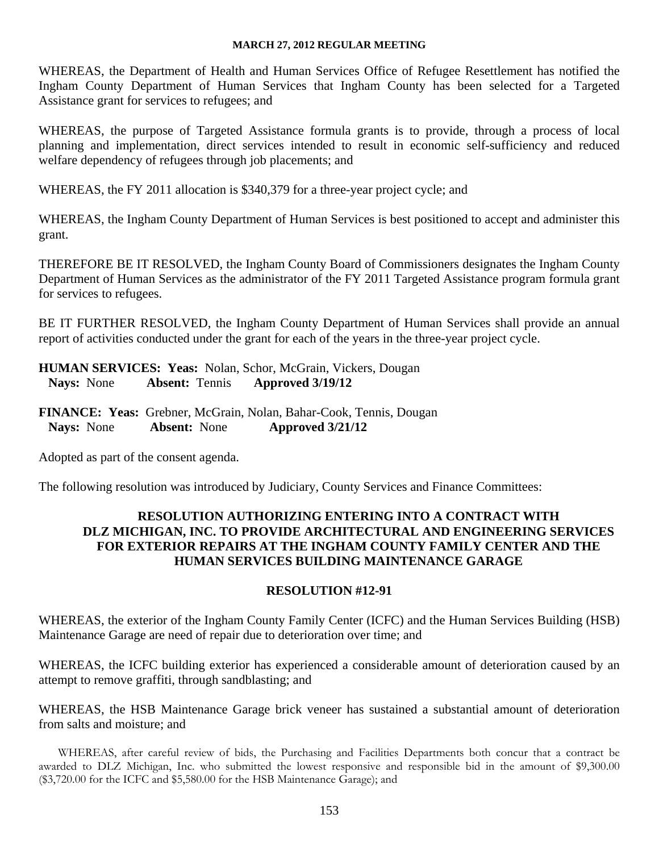WHEREAS, the Department of Health and Human Services Office of Refugee Resettlement has notified the Ingham County Department of Human Services that Ingham County has been selected for a Targeted Assistance grant for services to refugees; and

WHEREAS, the purpose of Targeted Assistance formula grants is to provide, through a process of local planning and implementation, direct services intended to result in economic self-sufficiency and reduced welfare dependency of refugees through job placements; and

WHEREAS, the FY 2011 allocation is \$340,379 for a three-year project cycle; and

WHEREAS, the Ingham County Department of Human Services is best positioned to accept and administer this grant.

THEREFORE BE IT RESOLVED, the Ingham County Board of Commissioners designates the Ingham County Department of Human Services as the administrator of the FY 2011 Targeted Assistance program formula grant for services to refugees.

BE IT FURTHER RESOLVED, the Ingham County Department of Human Services shall provide an annual report of activities conducted under the grant for each of the years in the three-year project cycle.

**HUMAN SERVICES: Yeas:** Nolan, Schor, McGrain, Vickers, Dougan **Nays:** None **Absent:** Tennis **Approved 3/19/12** 

**FINANCE: Yeas:** Grebner, McGrain, Nolan, Bahar-Cook, Tennis, Dougan  **Nays:** None **Absent:** None **Approved 3/21/12** 

Adopted as part of the consent agenda.

The following resolution was introduced by Judiciary, County Services and Finance Committees:

# **RESOLUTION AUTHORIZING ENTERING INTO A CONTRACT WITH DLZ MICHIGAN, INC. TO PROVIDE ARCHITECTURAL AND ENGINEERING SERVICES FOR EXTERIOR REPAIRS AT THE INGHAM COUNTY FAMILY CENTER AND THE HUMAN SERVICES BUILDING MAINTENANCE GARAGE**

# **RESOLUTION #12-91**

WHEREAS, the exterior of the Ingham County Family Center (ICFC) and the Human Services Building (HSB) Maintenance Garage are need of repair due to deterioration over time; and

WHEREAS, the ICFC building exterior has experienced a considerable amount of deterioration caused by an attempt to remove graffiti, through sandblasting; and

WHEREAS, the HSB Maintenance Garage brick veneer has sustained a substantial amount of deterioration from salts and moisture; and

WHEREAS, after careful review of bids, the Purchasing and Facilities Departments both concur that a contract be awarded to DLZ Michigan, Inc. who submitted the lowest responsive and responsible bid in the amount of \$9,300.00 (\$3,720.00 for the ICFC and \$5,580.00 for the HSB Maintenance Garage); and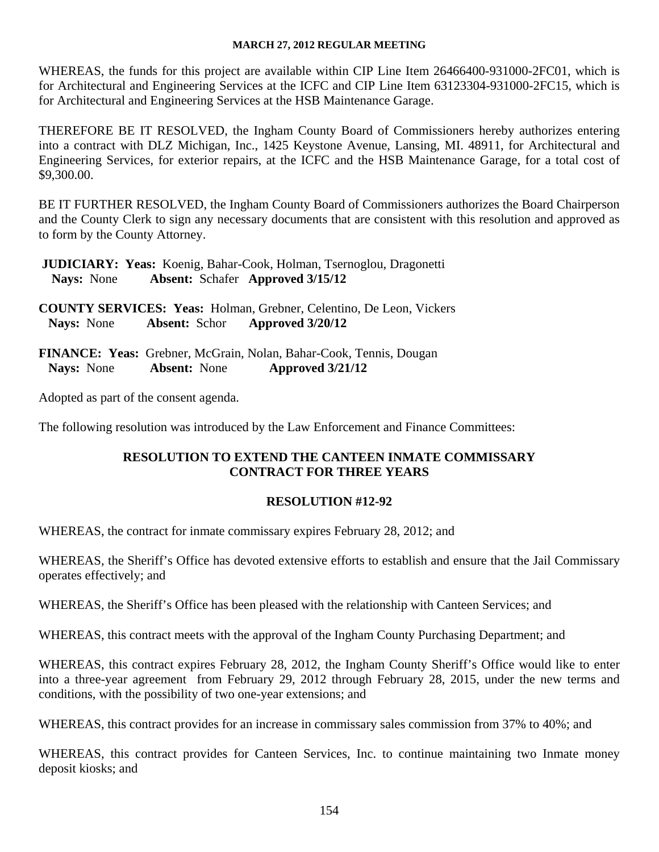WHEREAS, the funds for this project are available within CIP Line Item 26466400-931000-2FC01, which is for Architectural and Engineering Services at the ICFC and CIP Line Item 63123304-931000-2FC15, which is for Architectural and Engineering Services at the HSB Maintenance Garage.

THEREFORE BE IT RESOLVED, the Ingham County Board of Commissioners hereby authorizes entering into a contract with DLZ Michigan, Inc., 1425 Keystone Avenue, Lansing, MI. 48911, for Architectural and Engineering Services, for exterior repairs, at the ICFC and the HSB Maintenance Garage, for a total cost of \$9,300.00.

BE IT FURTHER RESOLVED, the Ingham County Board of Commissioners authorizes the Board Chairperson and the County Clerk to sign any necessary documents that are consistent with this resolution and approved as to form by the County Attorney.

 **JUDICIARY: Yeas:** Koenig, Bahar-Cook, Holman, Tsernoglou, Dragonetti  **Nays:** None **Absent:** Schafer **Approved 3/15/12** 

**COUNTY SERVICES: Yeas:** Holman, Grebner, Celentino, De Leon, Vickers **Nays:** None **Absent:** Schor **Approved 3/20/12** 

**FINANCE: Yeas:** Grebner, McGrain, Nolan, Bahar-Cook, Tennis, Dougan  **Nays:** None **Absent:** None **Approved 3/21/12** 

Adopted as part of the consent agenda.

The following resolution was introduced by the Law Enforcement and Finance Committees:

# **RESOLUTION TO EXTEND THE CANTEEN INMATE COMMISSARY CONTRACT FOR THREE YEARS**

# **RESOLUTION #12-92**

WHEREAS, the contract for inmate commissary expires February 28, 2012; and

WHEREAS, the Sheriff's Office has devoted extensive efforts to establish and ensure that the Jail Commissary operates effectively; and

WHEREAS, the Sheriff's Office has been pleased with the relationship with Canteen Services; and

WHEREAS, this contract meets with the approval of the Ingham County Purchasing Department; and

WHEREAS, this contract expires February 28, 2012, the Ingham County Sheriff's Office would like to enter into a three-year agreement from February 29, 2012 through February 28, 2015, under the new terms and conditions, with the possibility of two one-year extensions; and

WHEREAS, this contract provides for an increase in commissary sales commission from 37% to 40%; and

WHEREAS, this contract provides for Canteen Services, Inc. to continue maintaining two Inmate money deposit kiosks; and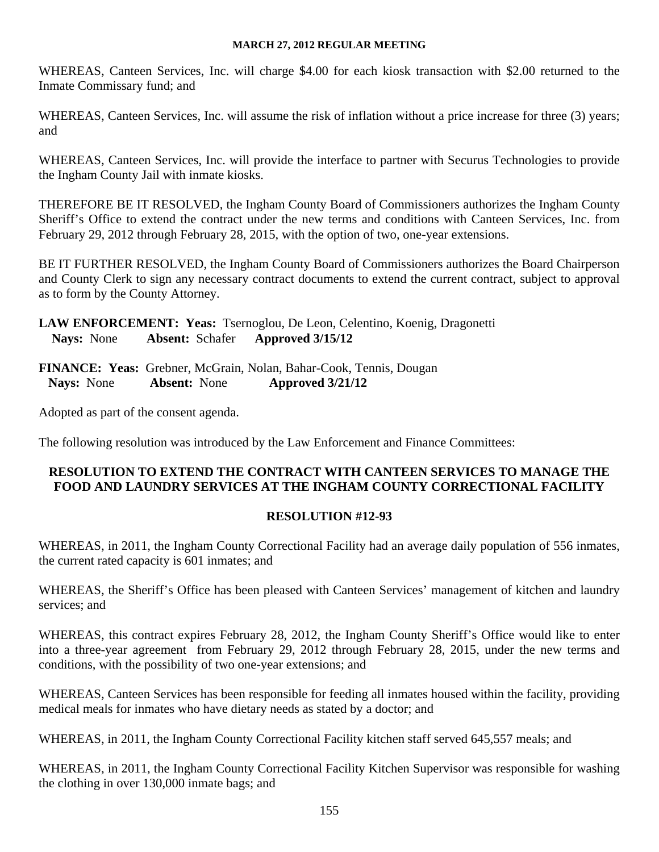WHEREAS, Canteen Services, Inc. will charge \$4.00 for each kiosk transaction with \$2.00 returned to the Inmate Commissary fund; and

WHEREAS, Canteen Services, Inc. will assume the risk of inflation without a price increase for three (3) years; and

WHEREAS, Canteen Services, Inc. will provide the interface to partner with Securus Technologies to provide the Ingham County Jail with inmate kiosks.

THEREFORE BE IT RESOLVED, the Ingham County Board of Commissioners authorizes the Ingham County Sheriff's Office to extend the contract under the new terms and conditions with Canteen Services, Inc. from February 29, 2012 through February 28, 2015, with the option of two, one-year extensions.

BE IT FURTHER RESOLVED, the Ingham County Board of Commissioners authorizes the Board Chairperson and County Clerk to sign any necessary contract documents to extend the current contract, subject to approval as to form by the County Attorney.

**LAW ENFORCEMENT: Yeas:** Tsernoglou, De Leon, Celentino, Koenig, Dragonetti  **Nays:** None **Absent:** Schafer **Approved 3/15/12** 

**FINANCE: Yeas:** Grebner, McGrain, Nolan, Bahar-Cook, Tennis, Dougan  **Nays:** None **Absent:** None **Approved 3/21/12** 

Adopted as part of the consent agenda.

The following resolution was introduced by the Law Enforcement and Finance Committees:

# **RESOLUTION TO EXTEND THE CONTRACT WITH CANTEEN SERVICES TO MANAGE THE FOOD AND LAUNDRY SERVICES AT THE INGHAM COUNTY CORRECTIONAL FACILITY**

# **RESOLUTION #12-93**

WHEREAS, in 2011, the Ingham County Correctional Facility had an average daily population of 556 inmates, the current rated capacity is 601 inmates; and

WHEREAS, the Sheriff's Office has been pleased with Canteen Services' management of kitchen and laundry services; and

WHEREAS, this contract expires February 28, 2012, the Ingham County Sheriff's Office would like to enter into a three-year agreement from February 29, 2012 through February 28, 2015, under the new terms and conditions, with the possibility of two one-year extensions; and

WHEREAS, Canteen Services has been responsible for feeding all inmates housed within the facility, providing medical meals for inmates who have dietary needs as stated by a doctor; and

WHEREAS, in 2011, the Ingham County Correctional Facility kitchen staff served 645,557 meals; and

WHEREAS, in 2011, the Ingham County Correctional Facility Kitchen Supervisor was responsible for washing the clothing in over 130,000 inmate bags; and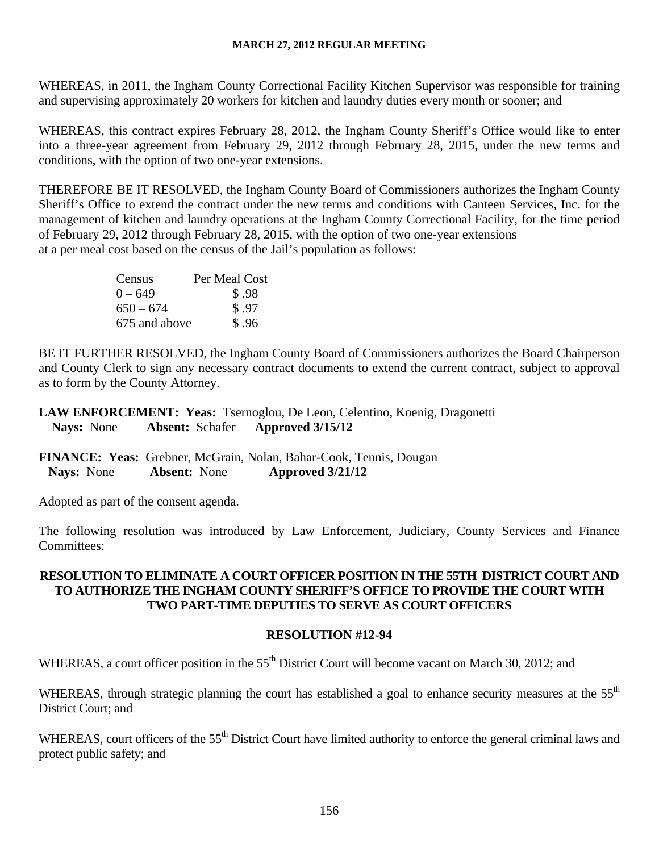WHEREAS, in 2011, the Ingham County Correctional Facility Kitchen Supervisor was responsible for training and supervising approximately 20 workers for kitchen and laundry duties every month or sooner; and

WHEREAS, this contract expires February 28, 2012, the Ingham County Sheriff's Office would like to enter into a three-year agreement from February 29, 2012 through February 28, 2015, under the new terms and conditions, with the option of two one-year extensions.

THEREFORE BE IT RESOLVED, the Ingham County Board of Commissioners authorizes the Ingham County Sheriff's Office to extend the contract under the new terms and conditions with Canteen Services, Inc. for the management of kitchen and laundry operations at the Ingham County Correctional Facility, for the time period of February 29, 2012 through February 28, 2015, with the option of two one-year extensions at a per meal cost based on the census of the Jail's population as follows:

| Census        | Per Meal Cost |
|---------------|---------------|
| $0 - 649$     | \$.98         |
| $650 - 674$   | \$.97         |
| 675 and above | \$.96         |

BE IT FURTHER RESOLVED, the Ingham County Board of Commissioners authorizes the Board Chairperson and County Clerk to sign any necessary contract documents to extend the current contract, subject to approval as to form by the County Attorney.

**LAW ENFORCEMENT: Yeas:** Tsernoglou, De Leon, Celentino, Koenig, Dragonetti  **Nays:** None **Absent:** Schafer **Approved 3/15/12** 

**FINANCE: Yeas:** Grebner, McGrain, Nolan, Bahar-Cook, Tennis, Dougan  **Nays:** None **Absent:** None **Approved 3/21/12** 

Adopted as part of the consent agenda.

The following resolution was introduced by Law Enforcement, Judiciary, County Services and Finance Committees:

# **RESOLUTION TO ELIMINATE A COURT OFFICER POSITION IN THE 55TH DISTRICT COURT AND TO AUTHORIZE THE INGHAM COUNTY SHERIFF'S OFFICE TO PROVIDE THE COURT WITH TWO PART-TIME DEPUTIES TO SERVE AS COURT OFFICERS**

# **RESOLUTION #12-94**

WHEREAS, a court officer position in the 55<sup>th</sup> District Court will become vacant on March 30, 2012; and

WHEREAS, through strategic planning the court has established a goal to enhance security measures at the 55<sup>th</sup> District Court; and

WHEREAS, court officers of the 55<sup>th</sup> District Court have limited authority to enforce the general criminal laws and protect public safety; and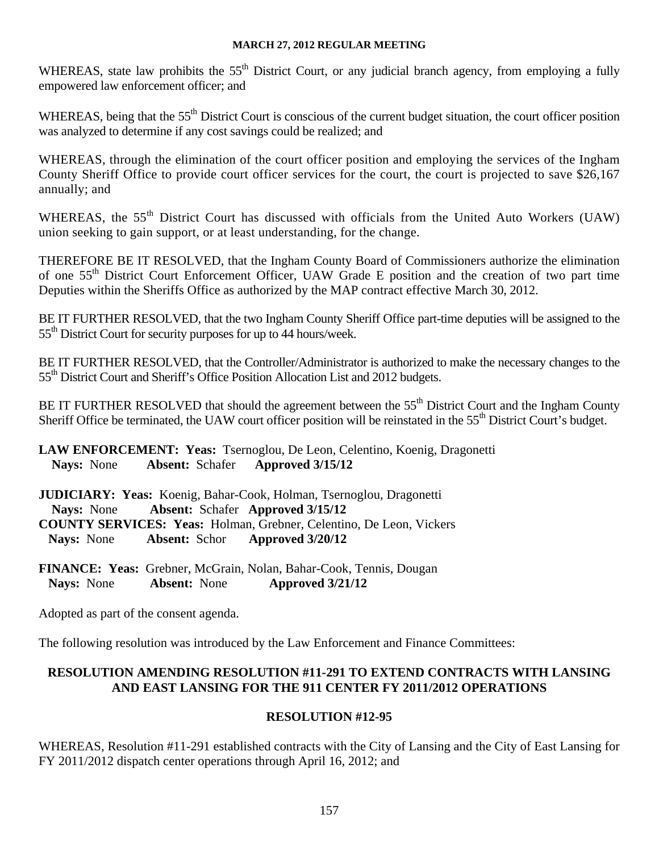WHEREAS, state law prohibits the 55<sup>th</sup> District Court, or any judicial branch agency, from employing a fully empowered law enforcement officer; and

WHEREAS, being that the 55<sup>th</sup> District Court is conscious of the current budget situation, the court officer position was analyzed to determine if any cost savings could be realized; and

WHEREAS, through the elimination of the court officer position and employing the services of the Ingham County Sheriff Office to provide court officer services for the court, the court is projected to save \$26,167 annually; and

WHEREAS, the 55<sup>th</sup> District Court has discussed with officials from the United Auto Workers (UAW) union seeking to gain support, or at least understanding, for the change.

THEREFORE BE IT RESOLVED, that the Ingham County Board of Commissioners authorize the elimination of one 55th District Court Enforcement Officer, UAW Grade E position and the creation of two part time Deputies within the Sheriffs Office as authorized by the MAP contract effective March 30, 2012.

BE IT FURTHER RESOLVED, that the two Ingham County Sheriff Office part-time deputies will be assigned to the 55<sup>th</sup> District Court for security purposes for up to 44 hours/week.

BE IT FURTHER RESOLVED, that the Controller/Administrator is authorized to make the necessary changes to the 55<sup>th</sup> District Court and Sheriff's Office Position Allocation List and 2012 budgets.

BE IT FURTHER RESOLVED that should the agreement between the 55<sup>th</sup> District Court and the Ingham County Sheriff Office be terminated, the UAW court officer position will be reinstated in the 55<sup>th</sup> District Court's budget.

**LAW ENFORCEMENT: Yeas:** Tsernoglou, De Leon, Celentino, Koenig, Dragonetti  **Nays:** None **Absent:** Schafer **Approved 3/15/12** 

**JUDICIARY: Yeas:** Koenig, Bahar-Cook, Holman, Tsernoglou, Dragonetti  **Nays:** None **Absent:** Schafer **Approved 3/15/12 COUNTY SERVICES: Yeas:** Holman, Grebner, Celentino, De Leon, Vickers **Nays:** None **Absent:** Schor **Approved 3/20/12** 

**FINANCE: Yeas:** Grebner, McGrain, Nolan, Bahar-Cook, Tennis, Dougan  **Nays:** None **Absent:** None **Approved 3/21/12** 

Adopted as part of the consent agenda.

The following resolution was introduced by the Law Enforcement and Finance Committees:

# **RESOLUTION AMENDING RESOLUTION #11-291 TO EXTEND CONTRACTS WITH LANSING AND EAST LANSING FOR THE 911 CENTER FY 2011/2012 OPERATIONS**

# **RESOLUTION #12-95**

WHEREAS, Resolution #11-291 established contracts with the City of Lansing and the City of East Lansing for FY 2011/2012 dispatch center operations through April 16, 2012; and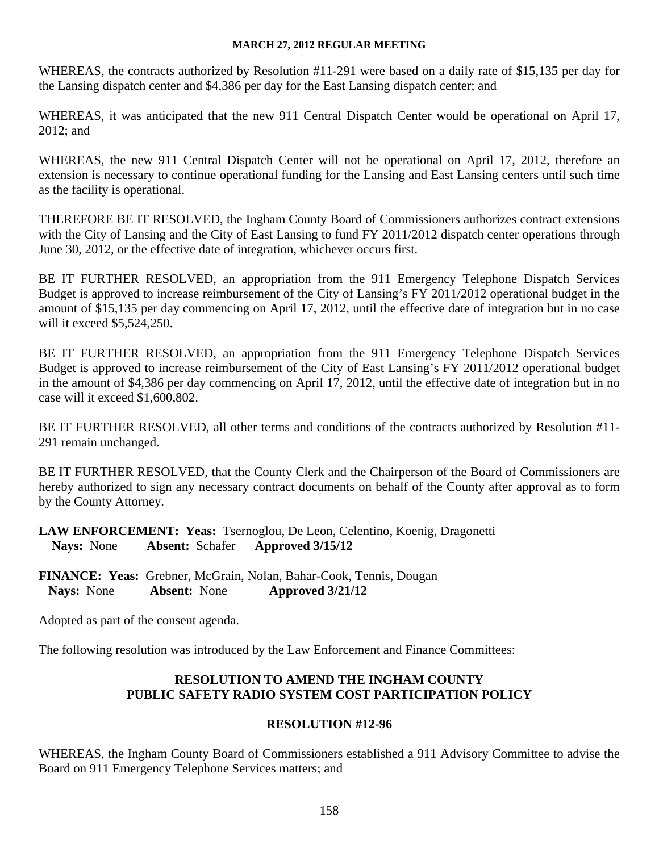WHEREAS, the contracts authorized by Resolution #11-291 were based on a daily rate of \$15,135 per day for the Lansing dispatch center and \$4,386 per day for the East Lansing dispatch center; and

WHEREAS, it was anticipated that the new 911 Central Dispatch Center would be operational on April 17, 2012; and

WHEREAS, the new 911 Central Dispatch Center will not be operational on April 17, 2012, therefore an extension is necessary to continue operational funding for the Lansing and East Lansing centers until such time as the facility is operational.

THEREFORE BE IT RESOLVED, the Ingham County Board of Commissioners authorizes contract extensions with the City of Lansing and the City of East Lansing to fund FY 2011/2012 dispatch center operations through June 30, 2012, or the effective date of integration, whichever occurs first.

BE IT FURTHER RESOLVED, an appropriation from the 911 Emergency Telephone Dispatch Services Budget is approved to increase reimbursement of the City of Lansing's FY 2011/2012 operational budget in the amount of \$15,135 per day commencing on April 17, 2012, until the effective date of integration but in no case will it exceed \$5,524,250.

BE IT FURTHER RESOLVED, an appropriation from the 911 Emergency Telephone Dispatch Services Budget is approved to increase reimbursement of the City of East Lansing's FY 2011/2012 operational budget in the amount of \$4,386 per day commencing on April 17, 2012, until the effective date of integration but in no case will it exceed \$1,600,802.

BE IT FURTHER RESOLVED, all other terms and conditions of the contracts authorized by Resolution #11- 291 remain unchanged.

BE IT FURTHER RESOLVED, that the County Clerk and the Chairperson of the Board of Commissioners are hereby authorized to sign any necessary contract documents on behalf of the County after approval as to form by the County Attorney.

**LAW ENFORCEMENT: Yeas:** Tsernoglou, De Leon, Celentino, Koenig, Dragonetti  **Nays:** None **Absent:** Schafer **Approved 3/15/12** 

**FINANCE: Yeas:** Grebner, McGrain, Nolan, Bahar-Cook, Tennis, Dougan  **Nays:** None **Absent:** None **Approved 3/21/12** 

Adopted as part of the consent agenda.

The following resolution was introduced by the Law Enforcement and Finance Committees:

# **RESOLUTION TO AMEND THE INGHAM COUNTY PUBLIC SAFETY RADIO SYSTEM COST PARTICIPATION POLICY**

# **RESOLUTION #12-96**

WHEREAS, the Ingham County Board of Commissioners established a 911 Advisory Committee to advise the Board on 911 Emergency Telephone Services matters; and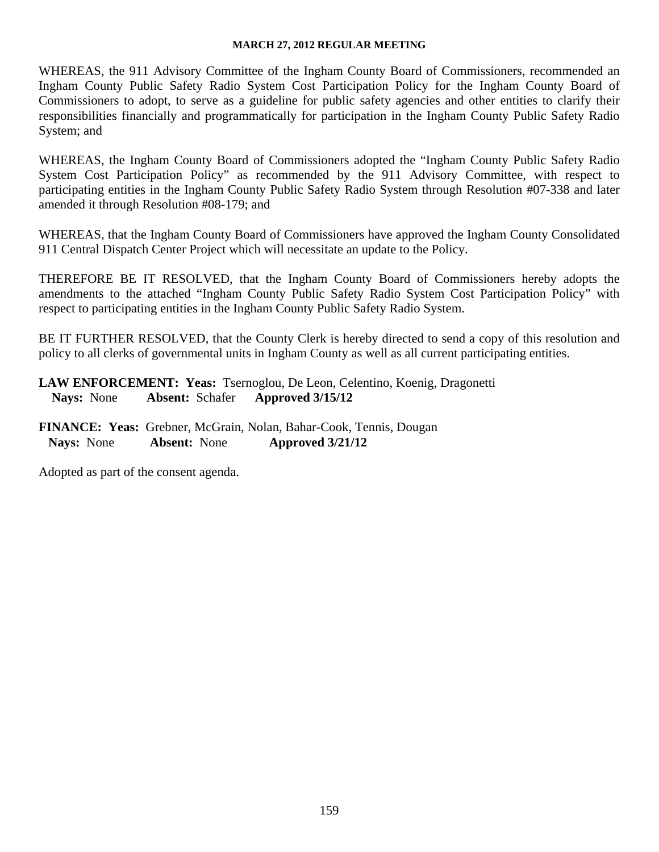WHEREAS, the 911 Advisory Committee of the Ingham County Board of Commissioners, recommended an Ingham County Public Safety Radio System Cost Participation Policy for the Ingham County Board of Commissioners to adopt, to serve as a guideline for public safety agencies and other entities to clarify their responsibilities financially and programmatically for participation in the Ingham County Public Safety Radio System; and

WHEREAS, the Ingham County Board of Commissioners adopted the "Ingham County Public Safety Radio System Cost Participation Policy" as recommended by the 911 Advisory Committee, with respect to participating entities in the Ingham County Public Safety Radio System through Resolution #07-338 and later amended it through Resolution #08-179; and

WHEREAS, that the Ingham County Board of Commissioners have approved the Ingham County Consolidated 911 Central Dispatch Center Project which will necessitate an update to the Policy.

THEREFORE BE IT RESOLVED, that the Ingham County Board of Commissioners hereby adopts the amendments to the attached "Ingham County Public Safety Radio System Cost Participation Policy" with respect to participating entities in the Ingham County Public Safety Radio System.

BE IT FURTHER RESOLVED, that the County Clerk is hereby directed to send a copy of this resolution and policy to all clerks of governmental units in Ingham County as well as all current participating entities.

**LAW ENFORCEMENT: Yeas:** Tsernoglou, De Leon, Celentino, Koenig, Dragonetti  **Nays:** None **Absent:** Schafer **Approved 3/15/12** 

**FINANCE: Yeas:** Grebner, McGrain, Nolan, Bahar-Cook, Tennis, Dougan  **Nays:** None **Absent:** None **Approved 3/21/12** 

Adopted as part of the consent agenda.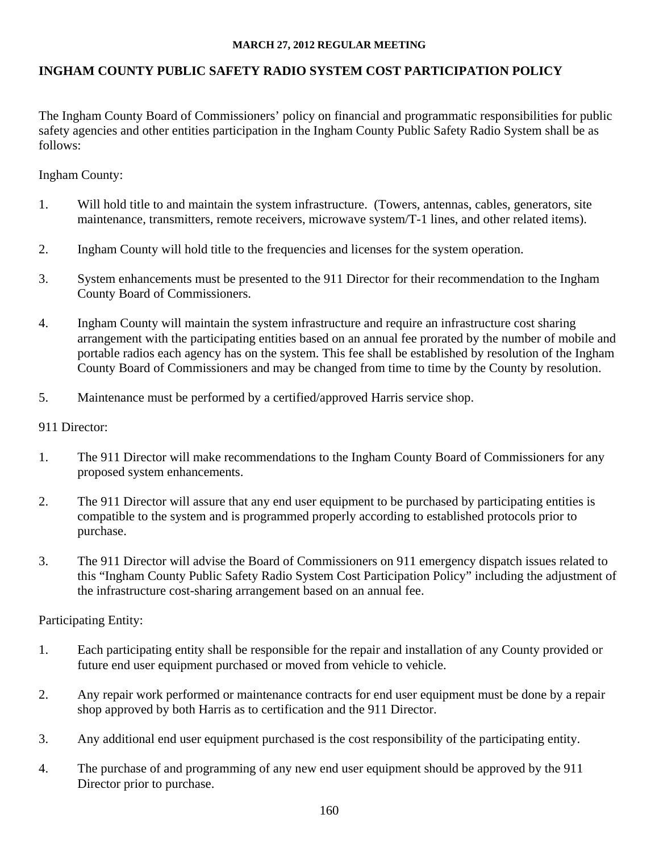# **INGHAM COUNTY PUBLIC SAFETY RADIO SYSTEM COST PARTICIPATION POLICY**

The Ingham County Board of Commissioners' policy on financial and programmatic responsibilities for public safety agencies and other entities participation in the Ingham County Public Safety Radio System shall be as follows:

Ingham County:

- 1. Will hold title to and maintain the system infrastructure. (Towers, antennas, cables, generators, site maintenance, transmitters, remote receivers, microwave system/T-1 lines, and other related items).
- 2. Ingham County will hold title to the frequencies and licenses for the system operation.
- 3. System enhancements must be presented to the 911 Director for their recommendation to the Ingham County Board of Commissioners.
- 4. Ingham County will maintain the system infrastructure and require an infrastructure cost sharing arrangement with the participating entities based on an annual fee prorated by the number of mobile and portable radios each agency has on the system. This fee shall be established by resolution of the Ingham County Board of Commissioners and may be changed from time to time by the County by resolution.
- 5. Maintenance must be performed by a certified/approved Harris service shop.

# 911 Director:

- 1. The 911 Director will make recommendations to the Ingham County Board of Commissioners for any proposed system enhancements.
- 2. The 911 Director will assure that any end user equipment to be purchased by participating entities is compatible to the system and is programmed properly according to established protocols prior to purchase.
- 3. The 911 Director will advise the Board of Commissioners on 911 emergency dispatch issues related to this "Ingham County Public Safety Radio System Cost Participation Policy" including the adjustment of the infrastructure cost-sharing arrangement based on an annual fee.

Participating Entity:

- 1. Each participating entity shall be responsible for the repair and installation of any County provided or future end user equipment purchased or moved from vehicle to vehicle.
- 2. Any repair work performed or maintenance contracts for end user equipment must be done by a repair shop approved by both Harris as to certification and the 911 Director.
- 3. Any additional end user equipment purchased is the cost responsibility of the participating entity.
- 4. The purchase of and programming of any new end user equipment should be approved by the 911 Director prior to purchase.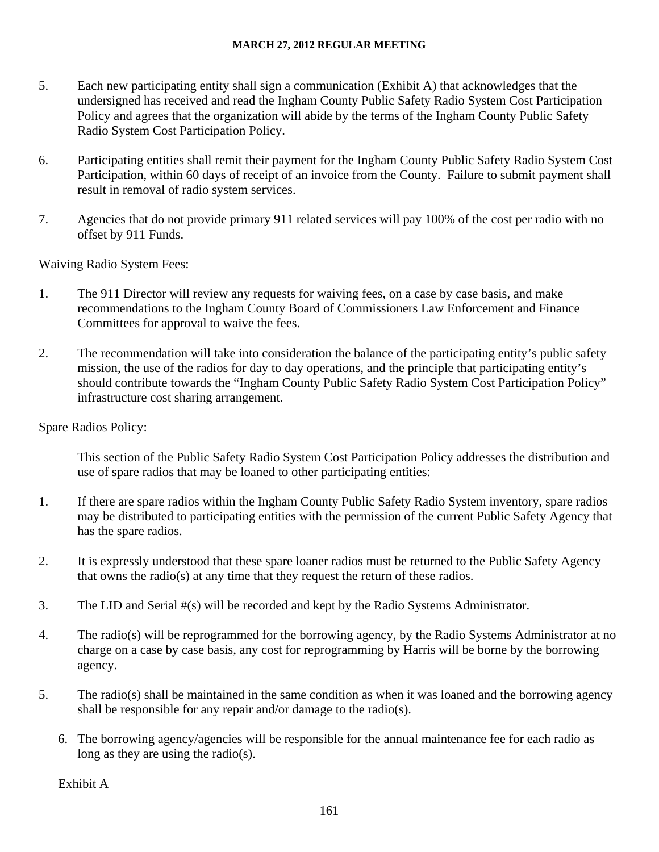- 5. Each new participating entity shall sign a communication (Exhibit A) that acknowledges that the undersigned has received and read the Ingham County Public Safety Radio System Cost Participation Policy and agrees that the organization will abide by the terms of the Ingham County Public Safety Radio System Cost Participation Policy.
- 6. Participating entities shall remit their payment for the Ingham County Public Safety Radio System Cost Participation, within 60 days of receipt of an invoice from the County. Failure to submit payment shall result in removal of radio system services.
- 7. Agencies that do not provide primary 911 related services will pay 100% of the cost per radio with no offset by 911 Funds.

Waiving Radio System Fees:

- 1. The 911 Director will review any requests for waiving fees, on a case by case basis, and make recommendations to the Ingham County Board of Commissioners Law Enforcement and Finance Committees for approval to waive the fees.
- 2. The recommendation will take into consideration the balance of the participating entity's public safety mission, the use of the radios for day to day operations, and the principle that participating entity's should contribute towards the "Ingham County Public Safety Radio System Cost Participation Policy" infrastructure cost sharing arrangement.

Spare Radios Policy:

This section of the Public Safety Radio System Cost Participation Policy addresses the distribution and use of spare radios that may be loaned to other participating entities:

- 1. If there are spare radios within the Ingham County Public Safety Radio System inventory, spare radios may be distributed to participating entities with the permission of the current Public Safety Agency that has the spare radios.
- 2. It is expressly understood that these spare loaner radios must be returned to the Public Safety Agency that owns the radio(s) at any time that they request the return of these radios.
- 3. The LID and Serial #(s) will be recorded and kept by the Radio Systems Administrator.
- 4. The radio(s) will be reprogrammed for the borrowing agency, by the Radio Systems Administrator at no charge on a case by case basis, any cost for reprogramming by Harris will be borne by the borrowing agency.
- 5. The radio(s) shall be maintained in the same condition as when it was loaned and the borrowing agency shall be responsible for any repair and/or damage to the radio(s).
	- 6. The borrowing agency/agencies will be responsible for the annual maintenance fee for each radio as long as they are using the radio(s).

Exhibit A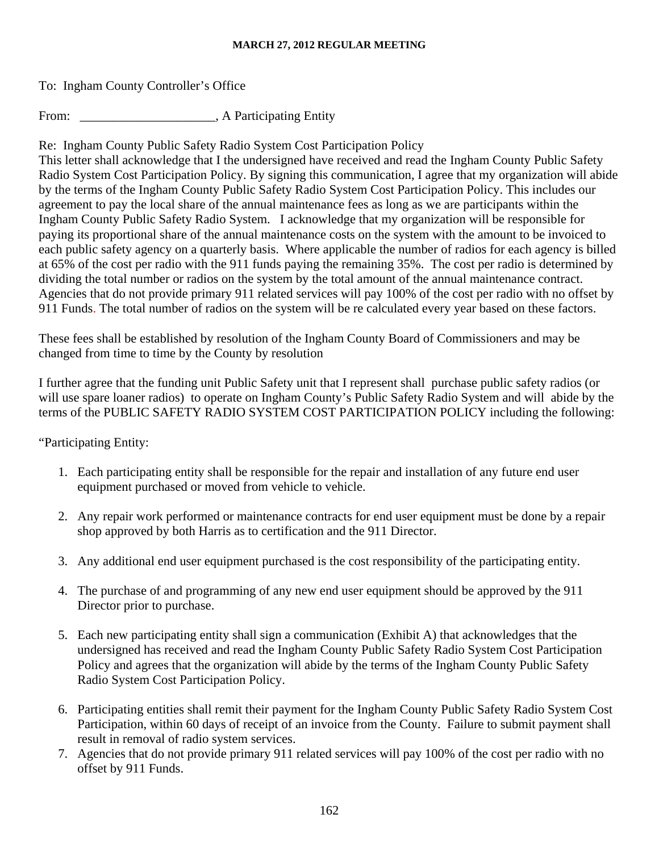To: Ingham County Controller's Office

From: \_\_\_\_\_\_\_\_\_\_\_\_\_\_\_\_\_\_\_\_\_\_, A Participating Entity

Re: Ingham County Public Safety Radio System Cost Participation Policy

This letter shall acknowledge that I the undersigned have received and read the Ingham County Public Safety Radio System Cost Participation Policy. By signing this communication, I agree that my organization will abide by the terms of the Ingham County Public Safety Radio System Cost Participation Policy. This includes our agreement to pay the local share of the annual maintenance fees as long as we are participants within the Ingham County Public Safety Radio System. I acknowledge that my organization will be responsible for paying its proportional share of the annual maintenance costs on the system with the amount to be invoiced to each public safety agency on a quarterly basis. Where applicable the number of radios for each agency is billed at 65% of the cost per radio with the 911 funds paying the remaining 35%. The cost per radio is determined by dividing the total number or radios on the system by the total amount of the annual maintenance contract. Agencies that do not provide primary 911 related services will pay 100% of the cost per radio with no offset by 911 Funds. The total number of radios on the system will be re calculated every year based on these factors.

These fees shall be established by resolution of the Ingham County Board of Commissioners and may be changed from time to time by the County by resolution

I further agree that the funding unit Public Safety unit that I represent shall purchase public safety radios (or will use spare loaner radios) to operate on Ingham County's Public Safety Radio System and will abide by the terms of the PUBLIC SAFETY RADIO SYSTEM COST PARTICIPATION POLICY including the following:

"Participating Entity:

- 1. Each participating entity shall be responsible for the repair and installation of any future end user equipment purchased or moved from vehicle to vehicle.
- 2. Any repair work performed or maintenance contracts for end user equipment must be done by a repair shop approved by both Harris as to certification and the 911 Director.
- 3. Any additional end user equipment purchased is the cost responsibility of the participating entity.
- 4. The purchase of and programming of any new end user equipment should be approved by the 911 Director prior to purchase.
- 5. Each new participating entity shall sign a communication (Exhibit A) that acknowledges that the undersigned has received and read the Ingham County Public Safety Radio System Cost Participation Policy and agrees that the organization will abide by the terms of the Ingham County Public Safety Radio System Cost Participation Policy.
- 6. Participating entities shall remit their payment for the Ingham County Public Safety Radio System Cost Participation, within 60 days of receipt of an invoice from the County. Failure to submit payment shall result in removal of radio system services.
- 7. Agencies that do not provide primary 911 related services will pay 100% of the cost per radio with no offset by 911 Funds.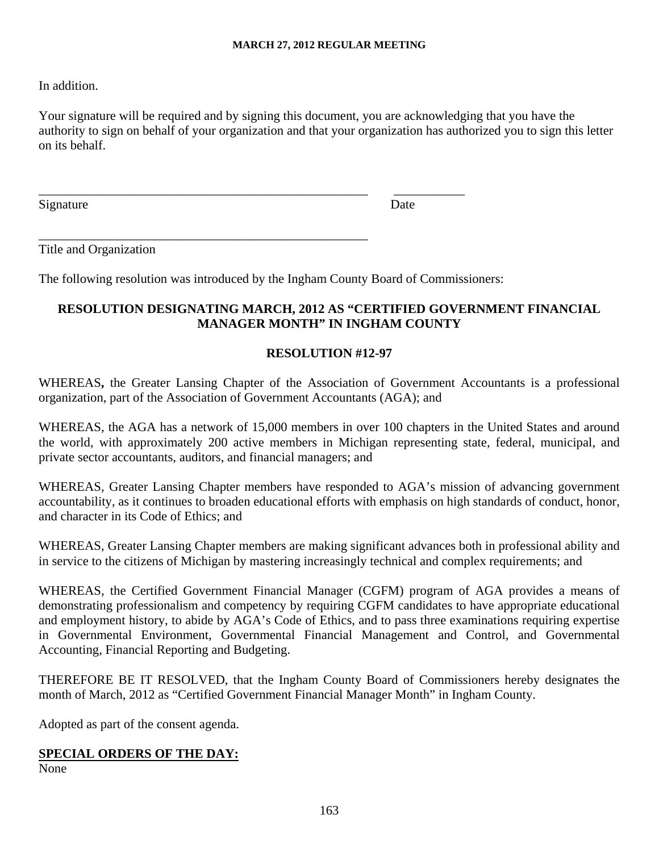# In addition.

Your signature will be required and by signing this document, you are acknowledging that you have the authority to sign on behalf of your organization and that your organization has authorized you to sign this letter on its behalf.

Signature Date Date Date

Title and Organization

The following resolution was introduced by the Ingham County Board of Commissioners:

\_\_\_\_\_\_\_\_\_\_\_\_\_\_\_\_\_\_\_\_\_\_\_\_\_\_\_\_\_\_\_\_\_\_\_\_\_\_\_\_\_\_\_\_\_\_\_\_\_\_\_ \_\_\_\_\_\_\_\_\_\_\_

\_\_\_\_\_\_\_\_\_\_\_\_\_\_\_\_\_\_\_\_\_\_\_\_\_\_\_\_\_\_\_\_\_\_\_\_\_\_\_\_\_\_\_\_\_\_\_\_\_\_\_

# **RESOLUTION DESIGNATING MARCH, 2012 AS "CERTIFIED GOVERNMENT FINANCIAL MANAGER MONTH" IN INGHAM COUNTY**

# **RESOLUTION #12-97**

WHEREAS**,** the Greater Lansing Chapter of the Association of Government Accountants is a professional organization, part of the Association of Government Accountants (AGA); and

WHEREAS, the AGA has a network of 15,000 members in over 100 chapters in the United States and around the world, with approximately 200 active members in Michigan representing state, federal, municipal, and private sector accountants, auditors, and financial managers; and

WHEREAS, Greater Lansing Chapter members have responded to AGA's mission of advancing government accountability, as it continues to broaden educational efforts with emphasis on high standards of conduct, honor, and character in its Code of Ethics; and

WHEREAS, Greater Lansing Chapter members are making significant advances both in professional ability and in service to the citizens of Michigan by mastering increasingly technical and complex requirements; and

WHEREAS, the Certified Government Financial Manager (CGFM) program of AGA provides a means of demonstrating professionalism and competency by requiring CGFM candidates to have appropriate educational and employment history, to abide by AGA's Code of Ethics, and to pass three examinations requiring expertise in Governmental Environment, Governmental Financial Management and Control, and Governmental Accounting, Financial Reporting and Budgeting.

THEREFORE BE IT RESOLVED, that the Ingham County Board of Commissioners hereby designates the month of March, 2012 as "Certified Government Financial Manager Month" in Ingham County.

Adopted as part of the consent agenda.

# **SPECIAL ORDERS OF THE DAY:**

None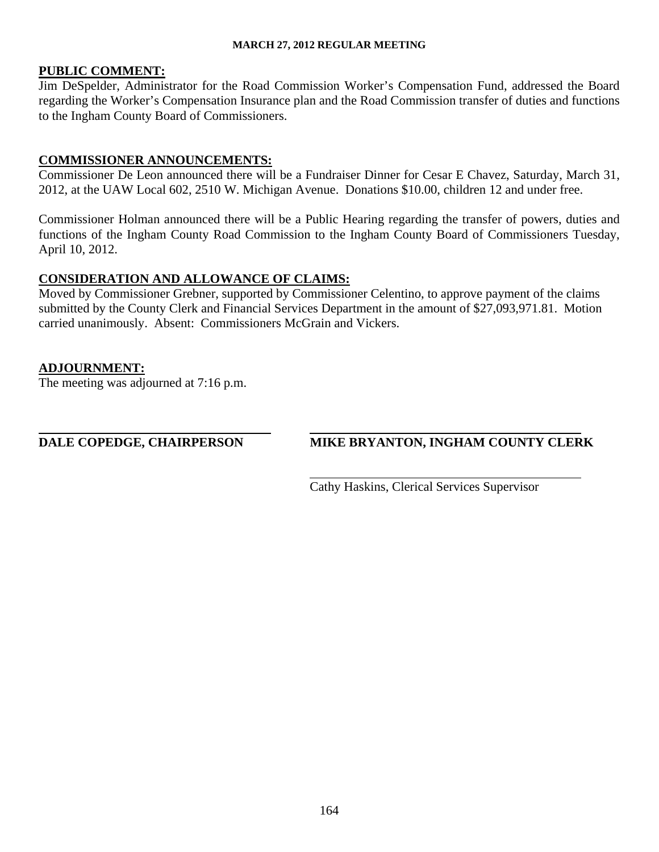#### **PUBLIC COMMENT:**

Jim DeSpelder, Administrator for the Road Commission Worker's Compensation Fund, addressed the Board regarding the Worker's Compensation Insurance plan and the Road Commission transfer of duties and functions to the Ingham County Board of Commissioners.

# **COMMISSIONER ANNOUNCEMENTS:**

Commissioner De Leon announced there will be a Fundraiser Dinner for Cesar E Chavez, Saturday, March 31, 2012, at the UAW Local 602, 2510 W. Michigan Avenue. Donations \$10.00, children 12 and under free.

Commissioner Holman announced there will be a Public Hearing regarding the transfer of powers, duties and functions of the Ingham County Road Commission to the Ingham County Board of Commissioners Tuesday, April 10, 2012.

# **CONSIDERATION AND ALLOWANCE OF CLAIMS:**

Moved by Commissioner Grebner, supported by Commissioner Celentino, to approve payment of the claims submitted by the County Clerk and Financial Services Department in the amount of \$27,093,971.81. Motion carried unanimously. Absent: Commissioners McGrain and Vickers.

# **ADJOURNMENT:**

 $\overline{a}$ 

The meeting was adjourned at 7:16 p.m.

# **DALE COPEDGE, CHAIRPERSON MIKE BRYANTON, INGHAM COUNTY CLERK**

Cathy Haskins, Clerical Services Supervisor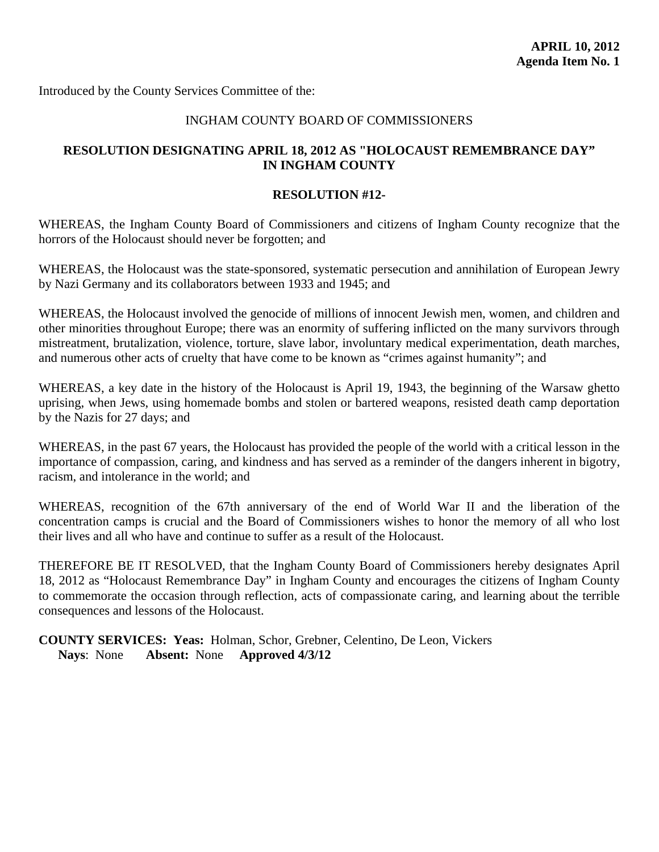<span id="page-21-0"></span>Introduced by the County Services Committee of the:

#### INGHAM COUNTY BOARD OF COMMISSIONERS

# **RESOLUTION DESIGNATING APRIL 18, 2012 AS "HOLOCAUST REMEMBRANCE DAY" IN INGHAM COUNTY**

#### **RESOLUTION #12-**

WHEREAS, the Ingham County Board of Commissioners and citizens of Ingham County recognize that the horrors of the Holocaust should never be forgotten; and

WHEREAS, the Holocaust was the state-sponsored, systematic persecution and annihilation of European Jewry by Nazi Germany and its collaborators between 1933 and 1945; and

WHEREAS, the Holocaust involved the genocide of millions of innocent Jewish men, women, and children and other minorities throughout Europe; there was an enormity of suffering inflicted on the many survivors through mistreatment, brutalization, violence, torture, slave labor, involuntary medical experimentation, death marches, and numerous other acts of cruelty that have come to be known as "crimes against humanity"; and

WHEREAS, a key date in the history of the Holocaust is April 19, 1943, the beginning of the Warsaw ghetto uprising, when Jews, using homemade bombs and stolen or bartered weapons, resisted death camp deportation by the Nazis for 27 days; and

WHEREAS, in the past 67 years, the Holocaust has provided the people of the world with a critical lesson in the importance of compassion, caring, and kindness and has served as a reminder of the dangers inherent in bigotry, racism, and intolerance in the world; and

WHEREAS, recognition of the 67th anniversary of the end of World War II and the liberation of the concentration camps is crucial and the Board of Commissioners wishes to honor the memory of all who lost their lives and all who have and continue to suffer as a result of the Holocaust.

THEREFORE BE IT RESOLVED, that the Ingham County Board of Commissioners hereby designates April 18, 2012 as "Holocaust Remembrance Day" in Ingham County and encourages the citizens of Ingham County to commemorate the occasion through reflection, acts of compassionate caring, and learning about the terrible consequences and lessons of the Holocaust.

**COUNTY SERVICES: Yeas:** Holman, Schor, Grebner, Celentino, De Leon, Vickers **Nays**: None **Absent:** None **Approved 4/3/12**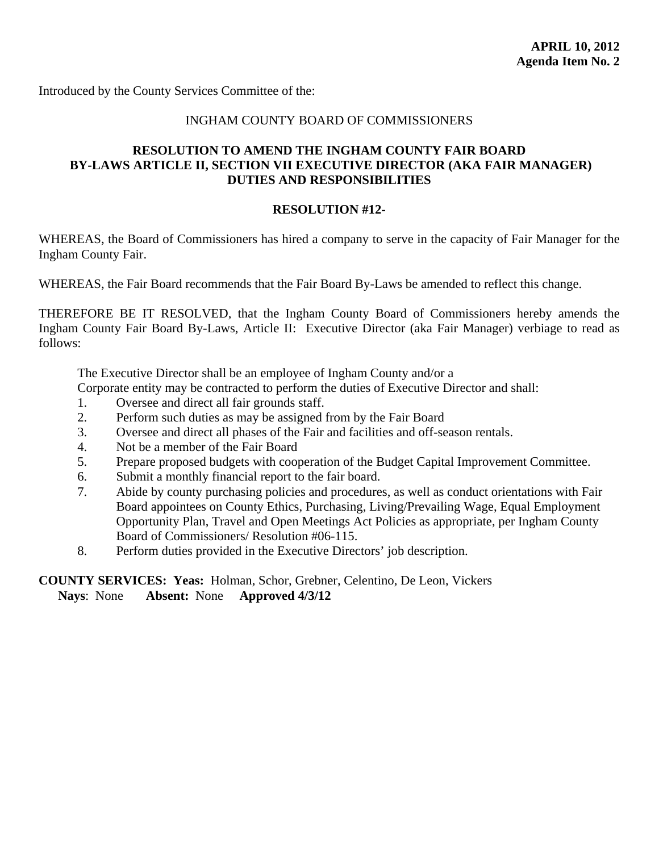<span id="page-22-0"></span>Introduced by the County Services Committee of the:

#### INGHAM COUNTY BOARD OF COMMISSIONERS

# **RESOLUTION TO AMEND THE INGHAM COUNTY FAIR BOARD BY-LAWS ARTICLE II, SECTION VII EXECUTIVE DIRECTOR (AKA FAIR MANAGER) DUTIES AND RESPONSIBILITIES**

# **RESOLUTION #12-**

WHEREAS, the Board of Commissioners has hired a company to serve in the capacity of Fair Manager for the Ingham County Fair.

WHEREAS, the Fair Board recommends that the Fair Board By-Laws be amended to reflect this change.

THEREFORE BE IT RESOLVED, that the Ingham County Board of Commissioners hereby amends the Ingham County Fair Board By-Laws, Article II: Executive Director (aka Fair Manager) verbiage to read as follows:

The Executive Director shall be an employee of Ingham County and/or a

- Corporate entity may be contracted to perform the duties of Executive Director and shall:
- 1. Oversee and direct all fair grounds staff.
- 2. Perform such duties as may be assigned from by the Fair Board
- 3. Oversee and direct all phases of the Fair and facilities and off-season rentals.
- 4. Not be a member of the Fair Board
- 5. Prepare proposed budgets with cooperation of the Budget Capital Improvement Committee.
- 6. Submit a monthly financial report to the fair board.
- 7. Abide by county purchasing policies and procedures, as well as conduct orientations with Fair Board appointees on County Ethics, Purchasing, Living/Prevailing Wage, Equal Employment Opportunity Plan, Travel and Open Meetings Act Policies as appropriate, per Ingham County Board of Commissioners/ Resolution #06-115.
- 8. Perform duties provided in the Executive Directors' job description.

# **COUNTY SERVICES: Yeas:** Holman, Schor, Grebner, Celentino, De Leon, Vickers **Nays**: None **Absent:** None **Approved 4/3/12**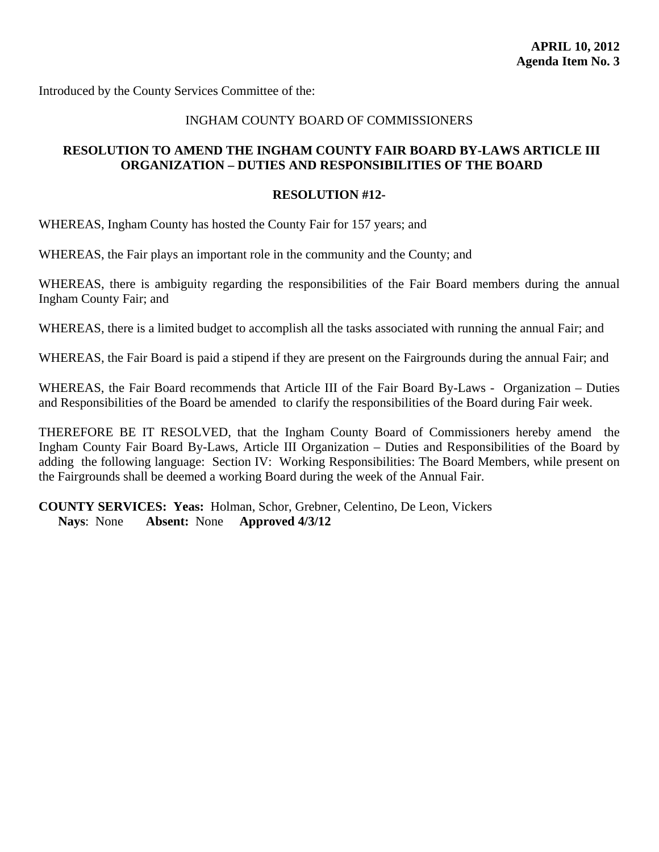<span id="page-23-0"></span>Introduced by the County Services Committee of the:

#### INGHAM COUNTY BOARD OF COMMISSIONERS

# **RESOLUTION TO AMEND THE INGHAM COUNTY FAIR BOARD BY-LAWS ARTICLE III ORGANIZATION – DUTIES AND RESPONSIBILITIES OF THE BOARD**

#### **RESOLUTION #12-**

WHEREAS, Ingham County has hosted the County Fair for 157 years; and

WHEREAS, the Fair plays an important role in the community and the County; and

WHEREAS, there is ambiguity regarding the responsibilities of the Fair Board members during the annual Ingham County Fair; and

WHEREAS, there is a limited budget to accomplish all the tasks associated with running the annual Fair; and

WHEREAS, the Fair Board is paid a stipend if they are present on the Fairgrounds during the annual Fair; and

WHEREAS, the Fair Board recommends that Article III of the Fair Board By-Laws - Organization – Duties and Responsibilities of the Board be amended to clarify the responsibilities of the Board during Fair week.

THEREFORE BE IT RESOLVED, that the Ingham County Board of Commissioners hereby amend the Ingham County Fair Board By-Laws, Article III Organization – Duties and Responsibilities of the Board by adding the following language: Section IV: Working Responsibilities: The Board Members, while present on the Fairgrounds shall be deemed a working Board during the week of the Annual Fair.

**COUNTY SERVICES: Yeas:** Holman, Schor, Grebner, Celentino, De Leon, Vickers **Nays**: None **Absent:** None **Approved 4/3/12**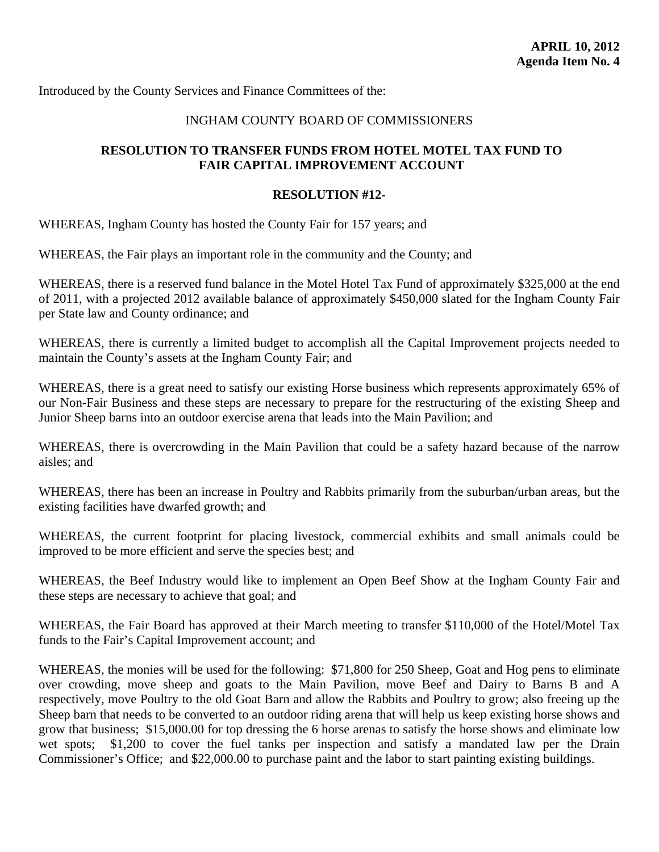<span id="page-24-0"></span>Introduced by the County Services and Finance Committees of the:

# INGHAM COUNTY BOARD OF COMMISSIONERS

# **RESOLUTION TO TRANSFER FUNDS FROM HOTEL MOTEL TAX FUND TO FAIR CAPITAL IMPROVEMENT ACCOUNT**

#### **RESOLUTION #12-**

WHEREAS, Ingham County has hosted the County Fair for 157 years; and

WHEREAS, the Fair plays an important role in the community and the County; and

WHEREAS, there is a reserved fund balance in the Motel Hotel Tax Fund of approximately \$325,000 at the end of 2011, with a projected 2012 available balance of approximately \$450,000 slated for the Ingham County Fair per State law and County ordinance; and

WHEREAS, there is currently a limited budget to accomplish all the Capital Improvement projects needed to maintain the County's assets at the Ingham County Fair; and

WHEREAS, there is a great need to satisfy our existing Horse business which represents approximately 65% of our Non-Fair Business and these steps are necessary to prepare for the restructuring of the existing Sheep and Junior Sheep barns into an outdoor exercise arena that leads into the Main Pavilion; and

WHEREAS, there is overcrowding in the Main Pavilion that could be a safety hazard because of the narrow aisles; and

WHEREAS, there has been an increase in Poultry and Rabbits primarily from the suburban/urban areas, but the existing facilities have dwarfed growth; and

WHEREAS, the current footprint for placing livestock, commercial exhibits and small animals could be improved to be more efficient and serve the species best; and

WHEREAS, the Beef Industry would like to implement an Open Beef Show at the Ingham County Fair and these steps are necessary to achieve that goal; and

WHEREAS, the Fair Board has approved at their March meeting to transfer \$110,000 of the Hotel/Motel Tax funds to the Fair's Capital Improvement account; and

WHEREAS, the monies will be used for the following: \$71,800 for 250 Sheep, Goat and Hog pens to eliminate over crowding, move sheep and goats to the Main Pavilion, move Beef and Dairy to Barns B and A respectively, move Poultry to the old Goat Barn and allow the Rabbits and Poultry to grow; also freeing up the Sheep barn that needs to be converted to an outdoor riding arena that will help us keep existing horse shows and grow that business; \$15,000.00 for top dressing the 6 horse arenas to satisfy the horse shows and eliminate low wet spots; \$1,200 to cover the fuel tanks per inspection and satisfy a mandated law per the Drain Commissioner's Office; and \$22,000.00 to purchase paint and the labor to start painting existing buildings.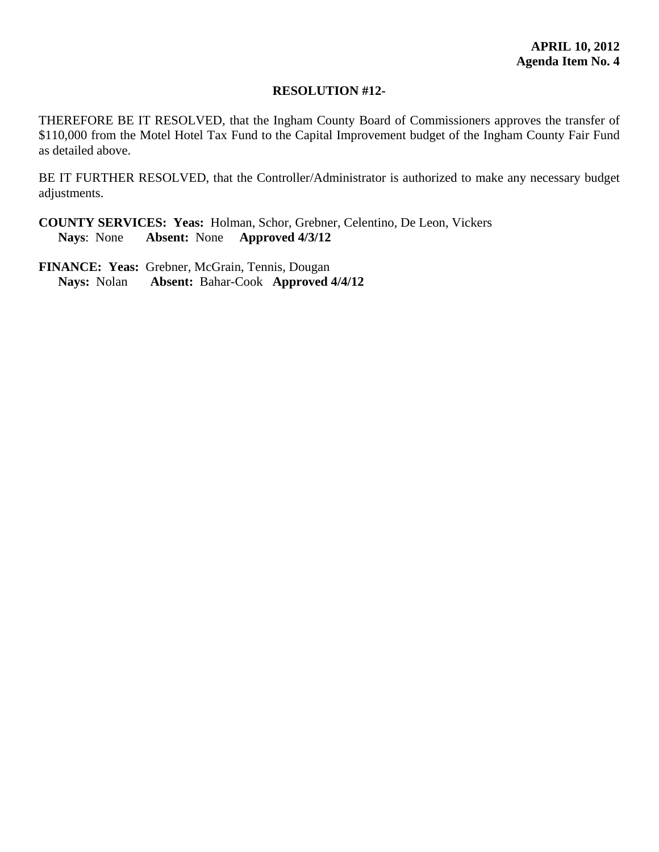#### **RESOLUTION #12-**

THEREFORE BE IT RESOLVED, that the Ingham County Board of Commissioners approves the transfer of \$110,000 from the Motel Hotel Tax Fund to the Capital Improvement budget of the Ingham County Fair Fund as detailed above.

BE IT FURTHER RESOLVED, that the Controller/Administrator is authorized to make any necessary budget adjustments.

**COUNTY SERVICES: Yeas:** Holman, Schor, Grebner, Celentino, De Leon, Vickers **Nays**: None **Absent:** None **Approved 4/3/12**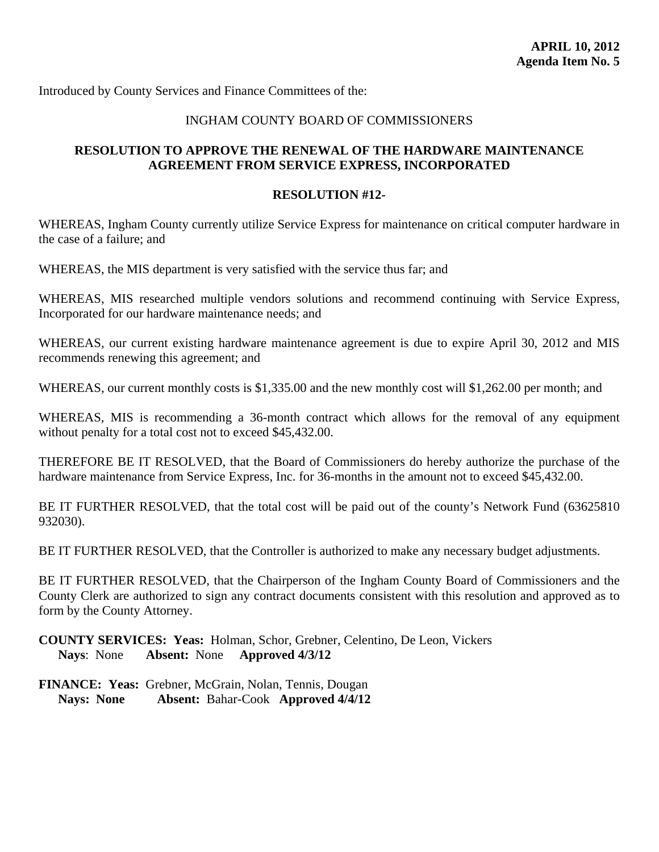<span id="page-26-0"></span>Introduced by County Services and Finance Committees of the:

# INGHAM COUNTY BOARD OF COMMISSIONERS

# **RESOLUTION TO APPROVE THE RENEWAL OF THE HARDWARE MAINTENANCE AGREEMENT FROM SERVICE EXPRESS, INCORPORATED**

#### **RESOLUTION #12-**

WHEREAS, Ingham County currently utilize Service Express for maintenance on critical computer hardware in the case of a failure; and

WHEREAS, the MIS department is very satisfied with the service thus far; and

WHEREAS, MIS researched multiple vendors solutions and recommend continuing with Service Express, Incorporated for our hardware maintenance needs; and

WHEREAS, our current existing hardware maintenance agreement is due to expire April 30, 2012 and MIS recommends renewing this agreement; and

WHEREAS, our current monthly costs is \$1,335.00 and the new monthly cost will \$1,262.00 per month; and

WHEREAS, MIS is recommending a 36-month contract which allows for the removal of any equipment without penalty for a total cost not to exceed \$45,432.00.

THEREFORE BE IT RESOLVED, that the Board of Commissioners do hereby authorize the purchase of the hardware maintenance from Service Express, Inc. for 36-months in the amount not to exceed \$45,432.00.

BE IT FURTHER RESOLVED, that the total cost will be paid out of the county's Network Fund (63625810) 932030).

BE IT FURTHER RESOLVED, that the Controller is authorized to make any necessary budget adjustments.

BE IT FURTHER RESOLVED, that the Chairperson of the Ingham County Board of Commissioners and the County Clerk are authorized to sign any contract documents consistent with this resolution and approved as to form by the County Attorney.

**COUNTY SERVICES: Yeas:** Holman, Schor, Grebner, Celentino, De Leon, Vickers **Nays**: None **Absent:** None **Approved 4/3/12**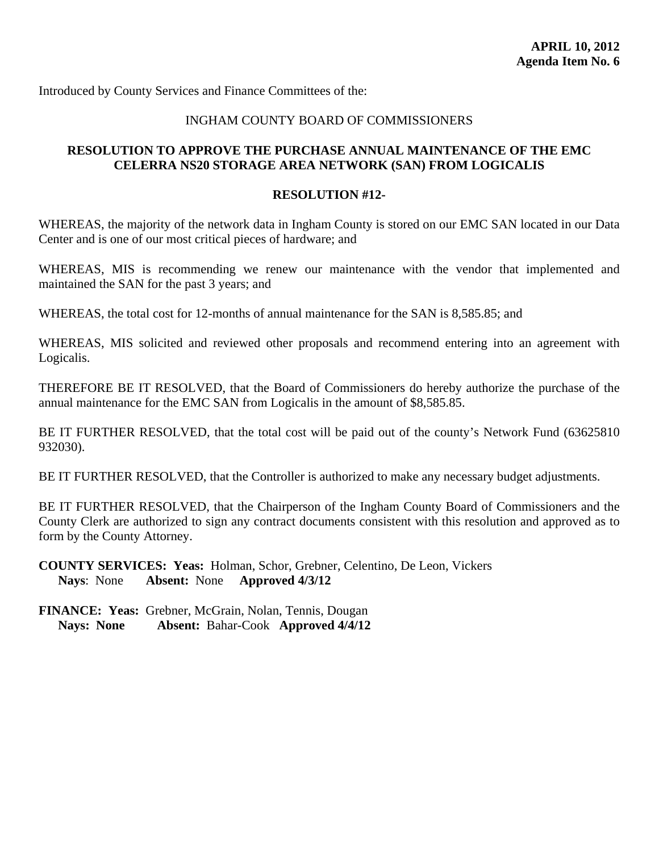<span id="page-27-0"></span>Introduced by County Services and Finance Committees of the:

# INGHAM COUNTY BOARD OF COMMISSIONERS

# **RESOLUTION TO APPROVE THE PURCHASE ANNUAL MAINTENANCE OF THE EMC CELERRA NS20 STORAGE AREA NETWORK (SAN) FROM LOGICALIS**

#### **RESOLUTION #12-**

WHEREAS, the majority of the network data in Ingham County is stored on our EMC SAN located in our Data Center and is one of our most critical pieces of hardware; and

WHEREAS, MIS is recommending we renew our maintenance with the vendor that implemented and maintained the SAN for the past 3 years; and

WHEREAS, the total cost for 12-months of annual maintenance for the SAN is 8,585.85; and

WHEREAS, MIS solicited and reviewed other proposals and recommend entering into an agreement with Logicalis.

THEREFORE BE IT RESOLVED, that the Board of Commissioners do hereby authorize the purchase of the annual maintenance for the EMC SAN from Logicalis in the amount of \$8,585.85.

BE IT FURTHER RESOLVED, that the total cost will be paid out of the county's Network Fund (63625810 932030).

BE IT FURTHER RESOLVED, that the Controller is authorized to make any necessary budget adjustments.

BE IT FURTHER RESOLVED, that the Chairperson of the Ingham County Board of Commissioners and the County Clerk are authorized to sign any contract documents consistent with this resolution and approved as to form by the County Attorney.

**COUNTY SERVICES: Yeas:** Holman, Schor, Grebner, Celentino, De Leon, Vickers **Nays**: None **Absent:** None **Approved 4/3/12**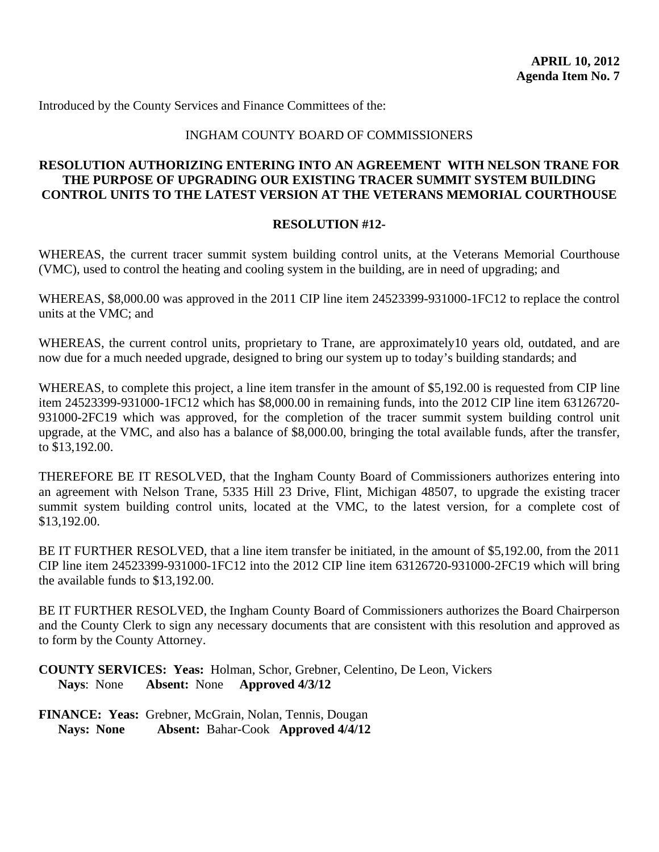<span id="page-28-0"></span>Introduced by the County Services and Finance Committees of the:

#### INGHAM COUNTY BOARD OF COMMISSIONERS

#### **RESOLUTION AUTHORIZING ENTERING INTO AN AGREEMENT WITH NELSON TRANE FOR THE PURPOSE OF UPGRADING OUR EXISTING TRACER SUMMIT SYSTEM BUILDING CONTROL UNITS TO THE LATEST VERSION AT THE VETERANS MEMORIAL COURTHOUSE**

#### **RESOLUTION #12-**

WHEREAS, the current tracer summit system building control units, at the Veterans Memorial Courthouse (VMC), used to control the heating and cooling system in the building, are in need of upgrading; and

WHEREAS, \$8,000.00 was approved in the 2011 CIP line item 24523399-931000-1FC12 to replace the control units at the VMC; and

WHEREAS, the current control units, proprietary to Trane, are approximately10 years old, outdated, and are now due for a much needed upgrade, designed to bring our system up to today's building standards; and

WHEREAS, to complete this project, a line item transfer in the amount of \$5,192.00 is requested from CIP line item 24523399-931000-1FC12 which has \$8,000.00 in remaining funds, into the 2012 CIP line item 63126720- 931000-2FC19 which was approved, for the completion of the tracer summit system building control unit upgrade, at the VMC, and also has a balance of \$8,000.00, bringing the total available funds, after the transfer, to \$13,192.00.

THEREFORE BE IT RESOLVED, that the Ingham County Board of Commissioners authorizes entering into an agreement with Nelson Trane, 5335 Hill 23 Drive, Flint, Michigan 48507, to upgrade the existing tracer summit system building control units, located at the VMC, to the latest version, for a complete cost of \$13,192.00.

BE IT FURTHER RESOLVED, that a line item transfer be initiated, in the amount of \$5,192.00, from the 2011 CIP line item 24523399-931000-1FC12 into the 2012 CIP line item 63126720-931000-2FC19 which will bring the available funds to \$13,192.00.

BE IT FURTHER RESOLVED, the Ingham County Board of Commissioners authorizes the Board Chairperson and the County Clerk to sign any necessary documents that are consistent with this resolution and approved as to form by the County Attorney.

**COUNTY SERVICES: Yeas:** Holman, Schor, Grebner, Celentino, De Leon, Vickers **Nays**: None **Absent:** None **Approved 4/3/12**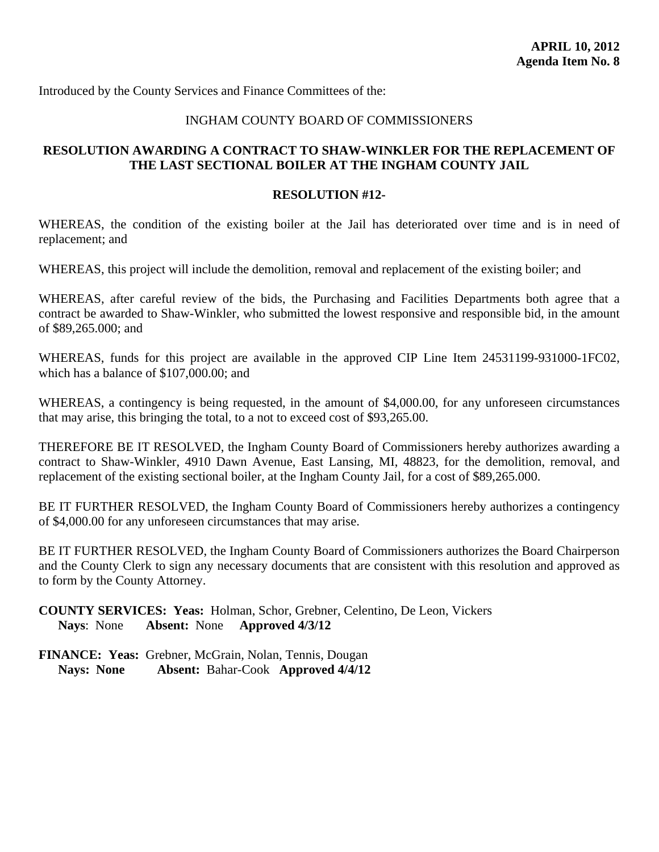<span id="page-29-0"></span>Introduced by the County Services and Finance Committees of the:

# INGHAM COUNTY BOARD OF COMMISSIONERS

# **RESOLUTION AWARDING A CONTRACT TO SHAW-WINKLER FOR THE REPLACEMENT OF THE LAST SECTIONAL BOILER AT THE INGHAM COUNTY JAIL**

#### **RESOLUTION #12-**

WHEREAS, the condition of the existing boiler at the Jail has deteriorated over time and is in need of replacement; and

WHEREAS, this project will include the demolition, removal and replacement of the existing boiler; and

WHEREAS, after careful review of the bids, the Purchasing and Facilities Departments both agree that a contract be awarded to Shaw-Winkler, who submitted the lowest responsive and responsible bid, in the amount of \$89,265.000; and

WHEREAS, funds for this project are available in the approved CIP Line Item 24531199-931000-1FC02, which has a balance of \$107,000.00; and

WHEREAS, a contingency is being requested, in the amount of \$4,000.00, for any unforeseen circumstances that may arise, this bringing the total, to a not to exceed cost of \$93,265.00.

THEREFORE BE IT RESOLVED, the Ingham County Board of Commissioners hereby authorizes awarding a contract to Shaw-Winkler, 4910 Dawn Avenue, East Lansing, MI, 48823, for the demolition, removal, and replacement of the existing sectional boiler, at the Ingham County Jail, for a cost of \$89,265.000.

BE IT FURTHER RESOLVED, the Ingham County Board of Commissioners hereby authorizes a contingency of \$4,000.00 for any unforeseen circumstances that may arise.

BE IT FURTHER RESOLVED, the Ingham County Board of Commissioners authorizes the Board Chairperson and the County Clerk to sign any necessary documents that are consistent with this resolution and approved as to form by the County Attorney.

**COUNTY SERVICES: Yeas:** Holman, Schor, Grebner, Celentino, De Leon, Vickers **Nays**: None **Absent:** None **Approved 4/3/12**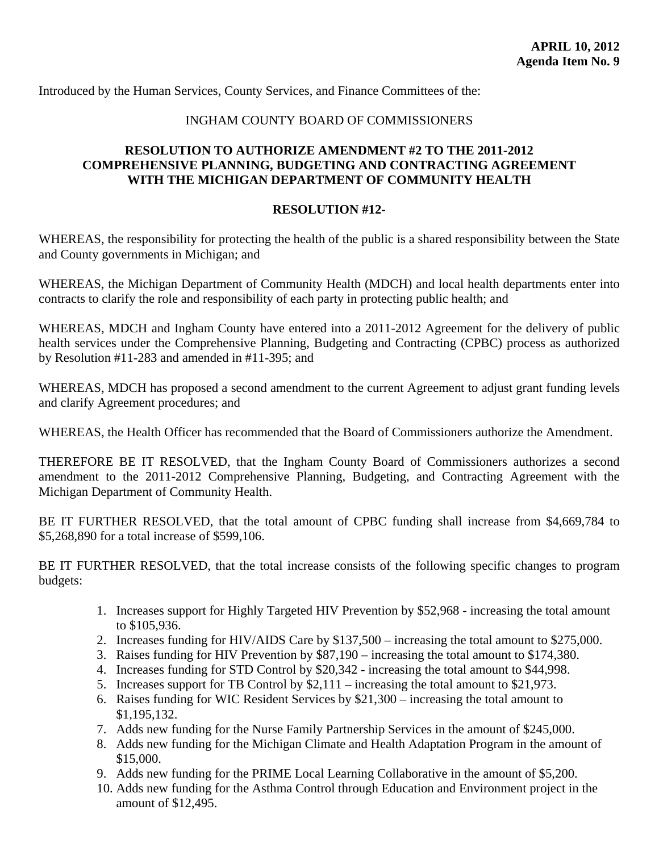<span id="page-30-0"></span>Introduced by the Human Services, County Services, and Finance Committees of the:

#### INGHAM COUNTY BOARD OF COMMISSIONERS

# **RESOLUTION TO AUTHORIZE AMENDMENT #2 TO THE 2011-2012 COMPREHENSIVE PLANNING, BUDGETING AND CONTRACTING AGREEMENT WITH THE MICHIGAN DEPARTMENT OF COMMUNITY HEALTH**

#### **RESOLUTION #12-**

WHEREAS, the responsibility for protecting the health of the public is a shared responsibility between the State and County governments in Michigan; and

WHEREAS, the Michigan Department of Community Health (MDCH) and local health departments enter into contracts to clarify the role and responsibility of each party in protecting public health; and

WHEREAS, MDCH and Ingham County have entered into a 2011-2012 Agreement for the delivery of public health services under the Comprehensive Planning, Budgeting and Contracting (CPBC) process as authorized by Resolution #11-283 and amended in #11-395; and

WHEREAS, MDCH has proposed a second amendment to the current Agreement to adjust grant funding levels and clarify Agreement procedures; and

WHEREAS, the Health Officer has recommended that the Board of Commissioners authorize the Amendment.

THEREFORE BE IT RESOLVED, that the Ingham County Board of Commissioners authorizes a second amendment to the 2011-2012 Comprehensive Planning, Budgeting, and Contracting Agreement with the Michigan Department of Community Health.

BE IT FURTHER RESOLVED, that the total amount of CPBC funding shall increase from \$4,669,784 to \$5,268,890 for a total increase of \$599,106.

BE IT FURTHER RESOLVED, that the total increase consists of the following specific changes to program budgets:

- 1. Increases support for Highly Targeted HIV Prevention by \$52,968 increasing the total amount to \$105,936.
- 2. Increases funding for HIV/AIDS Care by \$137,500 increasing the total amount to \$275,000.
- 3. Raises funding for HIV Prevention by \$87,190 increasing the total amount to \$174,380.
- 4. Increases funding for STD Control by \$20,342 increasing the total amount to \$44,998.
- 5. Increases support for TB Control by \$2,111 increasing the total amount to \$21,973.
- 6. Raises funding for WIC Resident Services by \$21,300 increasing the total amount to \$1,195,132.
- 7. Adds new funding for the Nurse Family Partnership Services in the amount of \$245,000.
- 8. Adds new funding for the Michigan Climate and Health Adaptation Program in the amount of \$15,000.
- 9. Adds new funding for the PRIME Local Learning Collaborative in the amount of \$5,200.
- 10. Adds new funding for the Asthma Control through Education and Environment project in the amount of \$12,495.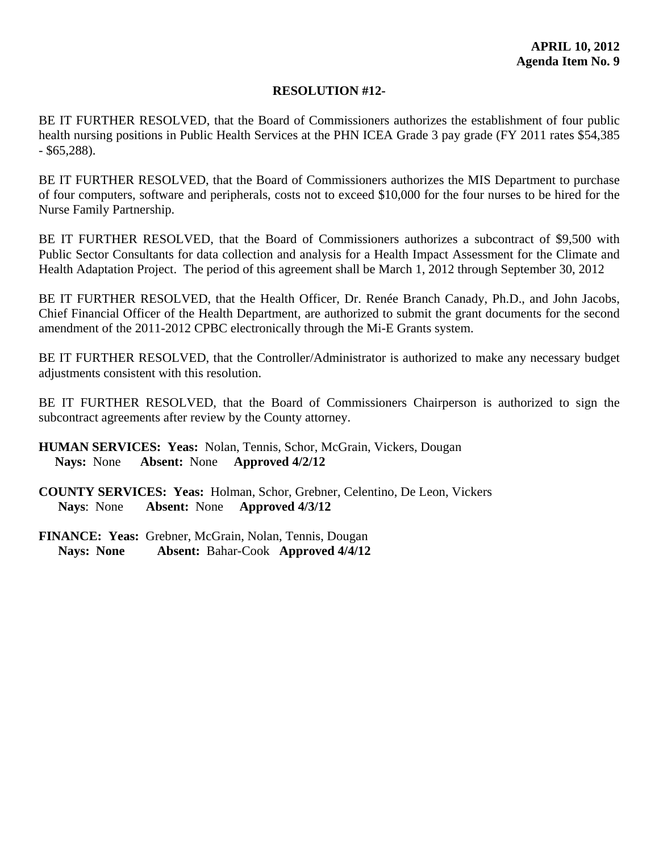# **RESOLUTION #12-**

BE IT FURTHER RESOLVED, that the Board of Commissioners authorizes the establishment of four public health nursing positions in Public Health Services at the PHN ICEA Grade 3 pay grade (FY 2011 rates \$54,385 - \$65,288).

BE IT FURTHER RESOLVED, that the Board of Commissioners authorizes the MIS Department to purchase of four computers, software and peripherals, costs not to exceed \$10,000 for the four nurses to be hired for the Nurse Family Partnership.

BE IT FURTHER RESOLVED, that the Board of Commissioners authorizes a subcontract of \$9,500 with Public Sector Consultants for data collection and analysis for a Health Impact Assessment for the Climate and Health Adaptation Project. The period of this agreement shall be March 1, 2012 through September 30, 2012

BE IT FURTHER RESOLVED, that the Health Officer, Dr. Renée Branch Canady, Ph.D., and John Jacobs, Chief Financial Officer of the Health Department, are authorized to submit the grant documents for the second amendment of the 2011-2012 CPBC electronically through the Mi-E Grants system.

BE IT FURTHER RESOLVED, that the Controller/Administrator is authorized to make any necessary budget adjustments consistent with this resolution.

BE IT FURTHER RESOLVED, that the Board of Commissioners Chairperson is authorized to sign the subcontract agreements after review by the County attorney.

- **HUMAN SERVICES: Yeas:** Nolan, Tennis, Schor, McGrain, Vickers, Dougan  **Nays:** None **Absent:** None **Approved 4/2/12**
- **COUNTY SERVICES: Yeas:** Holman, Schor, Grebner, Celentino, De Leon, Vickers **Nays**: None **Absent:** None **Approved 4/3/12**
- **FINANCE: Yeas:** Grebner, McGrain, Nolan, Tennis, Dougan  **Nays: None Absent:** Bahar-Cook **Approved 4/4/12**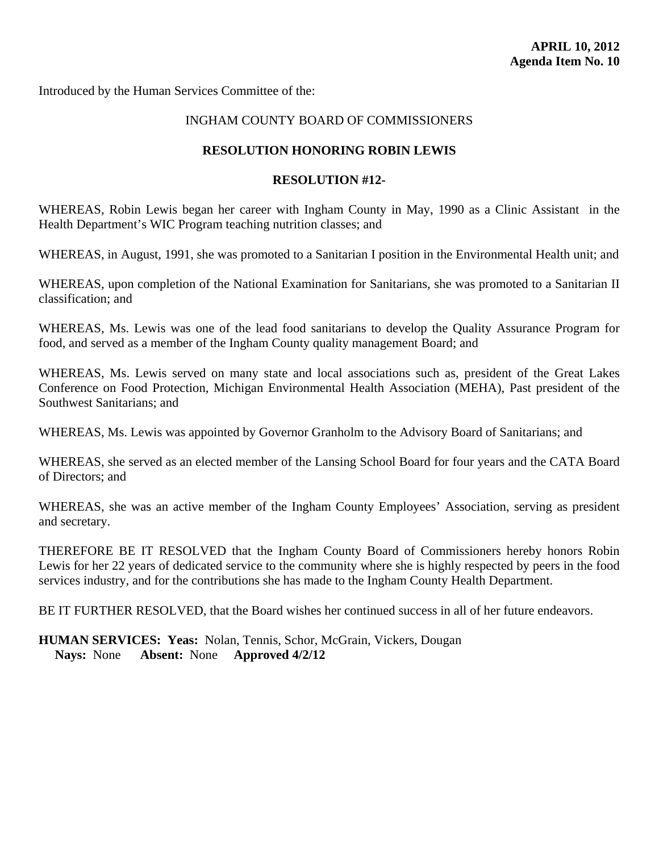<span id="page-32-0"></span>Introduced by the Human Services Committee of the:

# INGHAM COUNTY BOARD OF COMMISSIONERS

#### **RESOLUTION HONORING ROBIN LEWIS**

#### **RESOLUTION #12-**

WHEREAS, Robin Lewis began her career with Ingham County in May, 1990 as a Clinic Assistant in the Health Department's WIC Program teaching nutrition classes; and

WHEREAS, in August, 1991, she was promoted to a Sanitarian I position in the Environmental Health unit; and

WHEREAS, upon completion of the National Examination for Sanitarians, she was promoted to a Sanitarian II classification; and

WHEREAS, Ms. Lewis was one of the lead food sanitarians to develop the Quality Assurance Program for food, and served as a member of the Ingham County quality management Board; and

WHEREAS, Ms. Lewis served on many state and local associations such as, president of the Great Lakes Conference on Food Protection, Michigan Environmental Health Association (MEHA), Past president of the Southwest Sanitarians; and

WHEREAS, Ms. Lewis was appointed by Governor Granholm to the Advisory Board of Sanitarians; and

WHEREAS, she served as an elected member of the Lansing School Board for four years and the CATA Board of Directors; and

WHEREAS, she was an active member of the Ingham County Employees' Association, serving as president and secretary.

THEREFORE BE IT RESOLVED that the Ingham County Board of Commissioners hereby honors Robin Lewis for her 22 years of dedicated service to the community where she is highly respected by peers in the food services industry, and for the contributions she has made to the Ingham County Health Department.

BE IT FURTHER RESOLVED, that the Board wishes her continued success in all of her future endeavors.

**HUMAN SERVICES: Yeas:** Nolan, Tennis, Schor, McGrain, Vickers, Dougan  **Nays:** None **Absent:** None **Approved 4/2/12**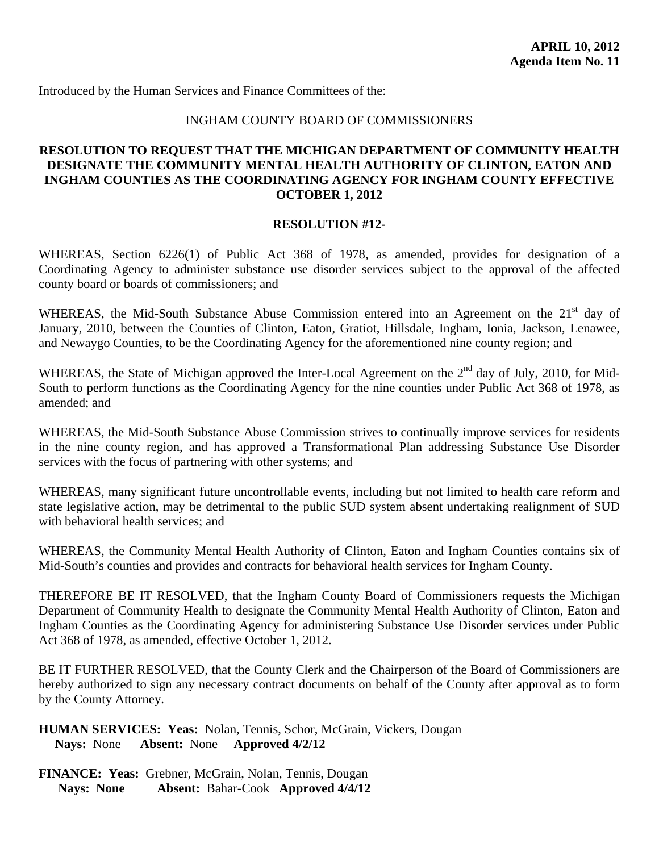<span id="page-33-0"></span>Introduced by the Human Services and Finance Committees of the:

# INGHAM COUNTY BOARD OF COMMISSIONERS

# **RESOLUTION TO REQUEST THAT THE MICHIGAN DEPARTMENT OF COMMUNITY HEALTH DESIGNATE THE COMMUNITY MENTAL HEALTH AUTHORITY OF CLINTON, EATON AND INGHAM COUNTIES AS THE COORDINATING AGENCY FOR INGHAM COUNTY EFFECTIVE OCTOBER 1, 2012**

#### **RESOLUTION #12-**

WHEREAS, Section 6226(1) of Public Act 368 of 1978, as amended, provides for designation of a Coordinating Agency to administer substance use disorder services subject to the approval of the affected county board or boards of commissioners; and

WHEREAS, the Mid-South Substance Abuse Commission entered into an Agreement on the 21<sup>st</sup> day of January, 2010, between the Counties of Clinton, Eaton, Gratiot, Hillsdale, Ingham, Ionia, Jackson, Lenawee, and Newaygo Counties, to be the Coordinating Agency for the aforementioned nine county region; and

WHEREAS, the State of Michigan approved the Inter-Local Agreement on the 2<sup>nd</sup> day of July, 2010, for Mid-South to perform functions as the Coordinating Agency for the nine counties under Public Act 368 of 1978, as amended; and

WHEREAS, the Mid-South Substance Abuse Commission strives to continually improve services for residents in the nine county region, and has approved a Transformational Plan addressing Substance Use Disorder services with the focus of partnering with other systems; and

WHEREAS, many significant future uncontrollable events, including but not limited to health care reform and state legislative action, may be detrimental to the public SUD system absent undertaking realignment of SUD with behavioral health services; and

WHEREAS, the Community Mental Health Authority of Clinton, Eaton and Ingham Counties contains six of Mid-South's counties and provides and contracts for behavioral health services for Ingham County.

THEREFORE BE IT RESOLVED, that the Ingham County Board of Commissioners requests the Michigan Department of Community Health to designate the Community Mental Health Authority of Clinton, Eaton and Ingham Counties as the Coordinating Agency for administering Substance Use Disorder services under Public Act 368 of 1978, as amended, effective October 1, 2012.

BE IT FURTHER RESOLVED, that the County Clerk and the Chairperson of the Board of Commissioners are hereby authorized to sign any necessary contract documents on behalf of the County after approval as to form by the County Attorney.

**HUMAN SERVICES: Yeas:** Nolan, Tennis, Schor, McGrain, Vickers, Dougan  **Nays:** None **Absent:** None **Approved 4/2/12**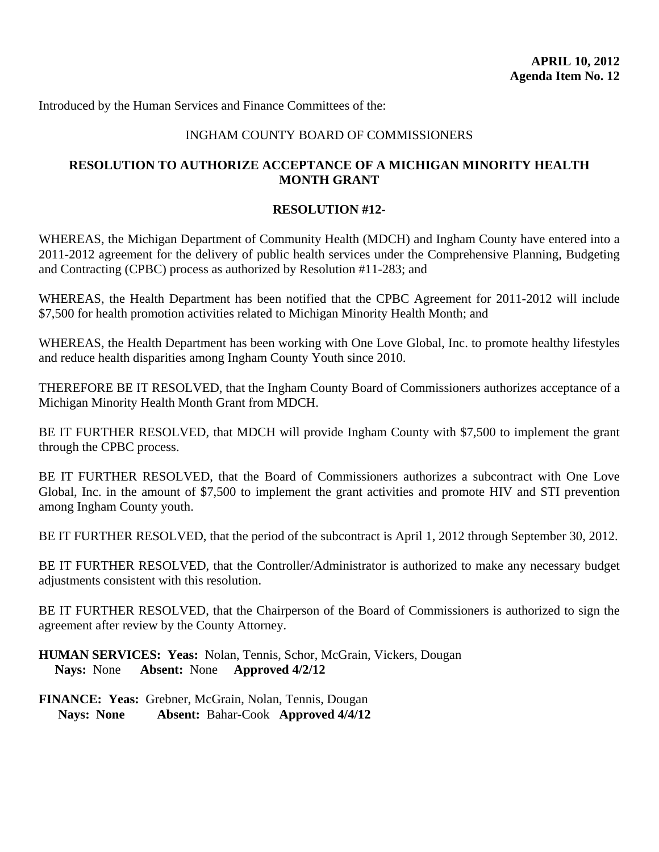<span id="page-34-0"></span>Introduced by the Human Services and Finance Committees of the:

# INGHAM COUNTY BOARD OF COMMISSIONERS

# **RESOLUTION TO AUTHORIZE ACCEPTANCE OF A MICHIGAN MINORITY HEALTH MONTH GRANT**

#### **RESOLUTION #12-**

WHEREAS, the Michigan Department of Community Health (MDCH) and Ingham County have entered into a 2011-2012 agreement for the delivery of public health services under the Comprehensive Planning, Budgeting and Contracting (CPBC) process as authorized by Resolution #11-283; and

WHEREAS, the Health Department has been notified that the CPBC Agreement for 2011-2012 will include \$7,500 for health promotion activities related to Michigan Minority Health Month; and

WHEREAS, the Health Department has been working with One Love Global, Inc. to promote healthy lifestyles and reduce health disparities among Ingham County Youth since 2010.

THEREFORE BE IT RESOLVED, that the Ingham County Board of Commissioners authorizes acceptance of a Michigan Minority Health Month Grant from MDCH.

BE IT FURTHER RESOLVED, that MDCH will provide Ingham County with \$7,500 to implement the grant through the CPBC process.

BE IT FURTHER RESOLVED, that the Board of Commissioners authorizes a subcontract with One Love Global, Inc. in the amount of \$7,500 to implement the grant activities and promote HIV and STI prevention among Ingham County youth.

BE IT FURTHER RESOLVED, that the period of the subcontract is April 1, 2012 through September 30, 2012.

BE IT FURTHER RESOLVED, that the Controller/Administrator is authorized to make any necessary budget adjustments consistent with this resolution.

BE IT FURTHER RESOLVED, that the Chairperson of the Board of Commissioners is authorized to sign the agreement after review by the County Attorney.

**HUMAN SERVICES: Yeas:** Nolan, Tennis, Schor, McGrain, Vickers, Dougan  **Nays:** None **Absent:** None **Approved 4/2/12**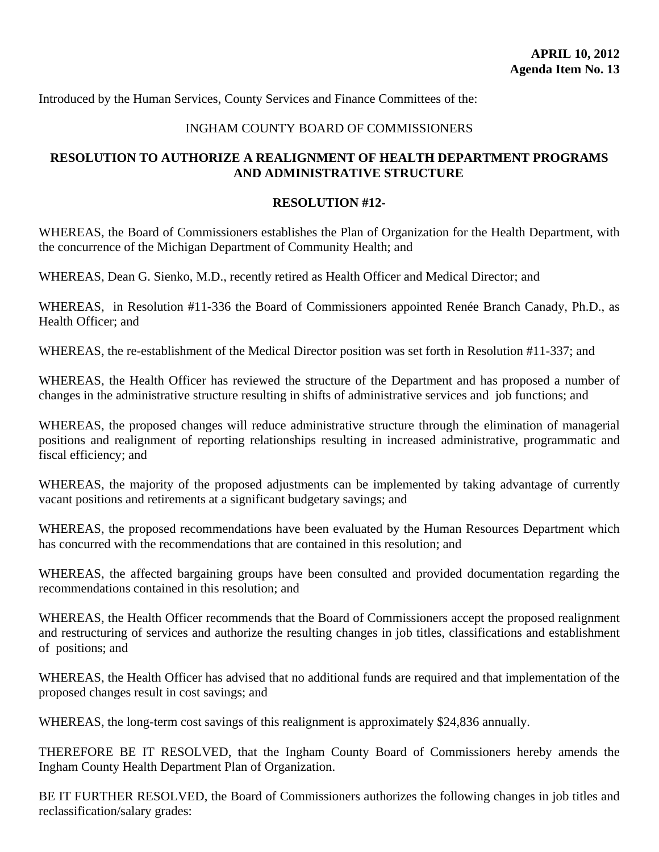<span id="page-35-0"></span>Introduced by the Human Services, County Services and Finance Committees of the:

# INGHAM COUNTY BOARD OF COMMISSIONERS

# **RESOLUTION TO AUTHORIZE A REALIGNMENT OF HEALTH DEPARTMENT PROGRAMS AND ADMINISTRATIVE STRUCTURE**

# **RESOLUTION #12-**

WHEREAS, the Board of Commissioners establishes the Plan of Organization for the Health Department, with the concurrence of the Michigan Department of Community Health; and

WHEREAS, Dean G. Sienko, M.D., recently retired as Health Officer and Medical Director; and

WHEREAS, in Resolution #11-336 the Board of Commissioners appointed Renée Branch Canady, Ph.D., as Health Officer; and

WHEREAS, the re-establishment of the Medical Director position was set forth in Resolution #11-337; and

WHEREAS, the Health Officer has reviewed the structure of the Department and has proposed a number of changes in the administrative structure resulting in shifts of administrative services and job functions; and

WHEREAS, the proposed changes will reduce administrative structure through the elimination of managerial positions and realignment of reporting relationships resulting in increased administrative, programmatic and fiscal efficiency; and

WHEREAS, the majority of the proposed adjustments can be implemented by taking advantage of currently vacant positions and retirements at a significant budgetary savings; and

WHEREAS, the proposed recommendations have been evaluated by the Human Resources Department which has concurred with the recommendations that are contained in this resolution; and

WHEREAS, the affected bargaining groups have been consulted and provided documentation regarding the recommendations contained in this resolution; and

WHEREAS, the Health Officer recommends that the Board of Commissioners accept the proposed realignment and restructuring of services and authorize the resulting changes in job titles, classifications and establishment of positions; and

WHEREAS, the Health Officer has advised that no additional funds are required and that implementation of the proposed changes result in cost savings; and

WHEREAS, the long-term cost savings of this realignment is approximately \$24,836 annually.

THEREFORE BE IT RESOLVED, that the Ingham County Board of Commissioners hereby amends the Ingham County Health Department Plan of Organization.

BE IT FURTHER RESOLVED, the Board of Commissioners authorizes the following changes in job titles and reclassification/salary grades: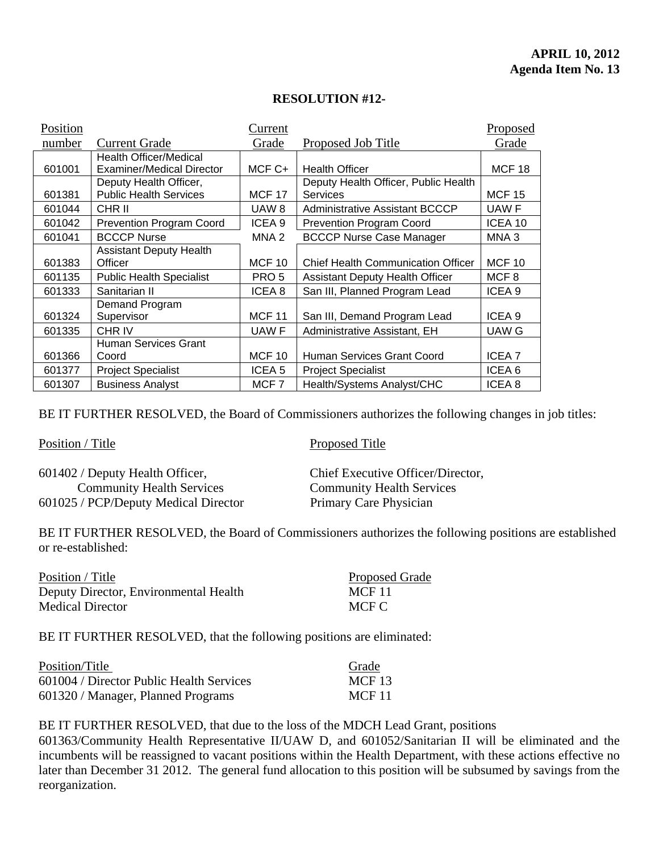# **RESOLUTION #12-**

| Position |                                  | Current           |                                           | Proposed          |
|----------|----------------------------------|-------------------|-------------------------------------------|-------------------|
| number   | <b>Current Grade</b>             | Grade             | Proposed Job Title                        | Grade             |
|          | <b>Health Officer/Medical</b>    |                   |                                           |                   |
| 601001   | <b>Examiner/Medical Director</b> | MCF C+            | <b>Health Officer</b>                     | <b>MCF 18</b>     |
|          | Deputy Health Officer,           |                   | Deputy Health Officer, Public Health      |                   |
| 601381   | <b>Public Health Services</b>    | <b>MCF 17</b>     | <b>Services</b>                           | <b>MCF 15</b>     |
| 601044   | CHR II                           | UAW <sub>8</sub>  | Administrative Assistant BCCCP            | UAW F             |
| 601042   | <b>Prevention Program Coord</b>  | ICEA 9            | <b>Prevention Program Coord</b>           | ICEA 10           |
| 601041   | <b>BCCCP Nurse</b>               | MNA <sub>2</sub>  | <b>BCCCP Nurse Case Manager</b>           | MNA 3             |
|          | <b>Assistant Deputy Health</b>   |                   |                                           |                   |
| 601383   | Officer                          | <b>MCF 10</b>     | <b>Chief Health Communication Officer</b> | <b>MCF 10</b>     |
| 601135   | <b>Public Health Specialist</b>  | PRO <sub>5</sub>  | <b>Assistant Deputy Health Officer</b>    | MCF <sub>8</sub>  |
| 601333   | Sanitarian II                    | ICEA <sub>8</sub> | San III, Planned Program Lead             | ICEA <sub>9</sub> |
|          | Demand Program                   |                   |                                           |                   |
| 601324   | Supervisor                       | <b>MCF 11</b>     | San III, Demand Program Lead              | ICEA <sub>9</sub> |
| 601335   | CHR IV                           | UAW F             | Administrative Assistant, EH              | UAW G             |
|          | Human Services Grant             |                   |                                           |                   |
| 601366   | Coord                            | <b>MCF 10</b>     | Human Services Grant Coord                | ICEA <sub>7</sub> |
| 601377   | <b>Project Specialist</b>        | ICEA <sub>5</sub> | <b>Project Specialist</b>                 | ICEA <sub>6</sub> |
| 601307   | <b>Business Analyst</b>          | MCF <sub>7</sub>  | Health/Systems Analyst/CHC                | ICEA <sub>8</sub> |

BE IT FURTHER RESOLVED, the Board of Commissioners authorizes the following changes in job titles:

Position / Title Proposed Title

| 601402 / Deputy Health Officer,      | Chief Executive Officer/Director, |
|--------------------------------------|-----------------------------------|
| <b>Community Health Services</b>     | <b>Community Health Services</b>  |
| 601025 / PCP/Deputy Medical Director | Primary Care Physician            |

BE IT FURTHER RESOLVED, the Board of Commissioners authorizes the following positions are established or re-established:

Position / Title Proposed Grade Deputy Director, Environmental Health MCF 11 Medical Director MCF C

BE IT FURTHER RESOLVED, that the following positions are eliminated:

| Position/Title                           | Grade         |
|------------------------------------------|---------------|
| 601004 / Director Public Health Services | <b>MCF</b> 13 |
| 601320 / Manager, Planned Programs       | MCF 11        |

BE IT FURTHER RESOLVED, that due to the loss of the MDCH Lead Grant, positions

601363/Community Health Representative II/UAW D, and 601052/Sanitarian II will be eliminated and the incumbents will be reassigned to vacant positions within the Health Department, with these actions effective no later than December 31 2012. The general fund allocation to this position will be subsumed by savings from the reorganization.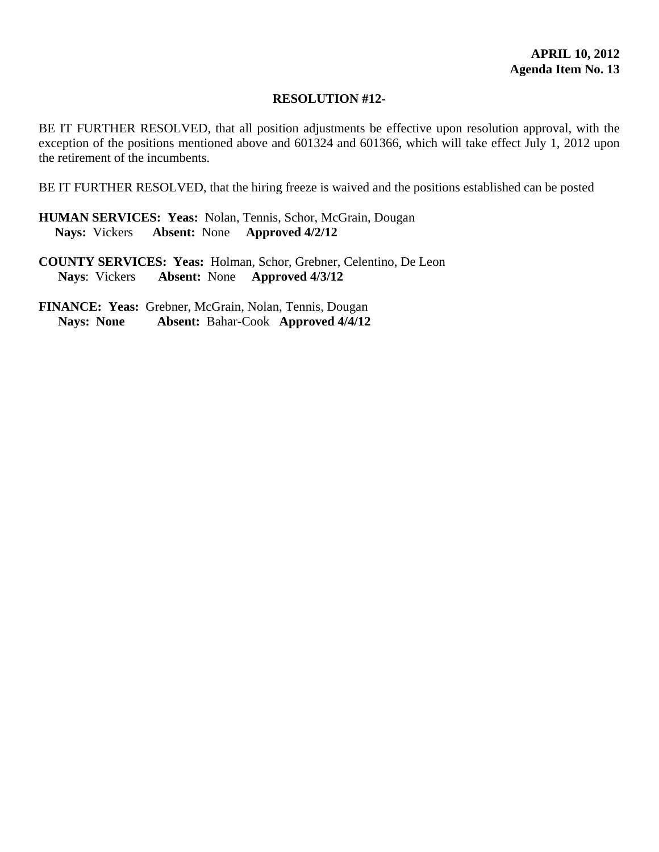#### **RESOLUTION #12-**

BE IT FURTHER RESOLVED, that all position adjustments be effective upon resolution approval, with the exception of the positions mentioned above and 601324 and 601366, which will take effect July 1, 2012 upon the retirement of the incumbents.

BE IT FURTHER RESOLVED, that the hiring freeze is waived and the positions established can be posted

**HUMAN SERVICES: Yeas:** Nolan, Tennis, Schor, McGrain, Dougan  **Nays:** Vickers **Absent:** None **Approved 4/2/12** 

**COUNTY SERVICES: Yeas:** Holman, Schor, Grebner, Celentino, De Leon **Nays**: Vickers **Absent:** None **Approved 4/3/12**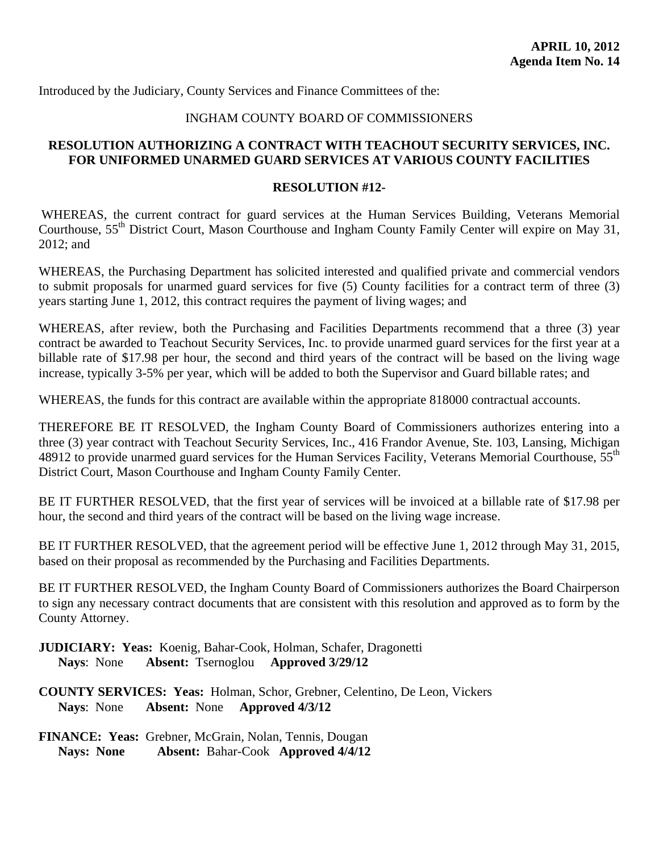<span id="page-38-0"></span>Introduced by the Judiciary, County Services and Finance Committees of the:

## INGHAM COUNTY BOARD OF COMMISSIONERS

# **RESOLUTION AUTHORIZING A CONTRACT WITH TEACHOUT SECURITY SERVICES, INC. FOR UNIFORMED UNARMED GUARD SERVICES AT VARIOUS COUNTY FACILITIES**

#### **RESOLUTION #12-**

WHEREAS, the current contract for guard services at the Human Services Building, Veterans Memorial Courthouse, 55<sup>th</sup> District Court, Mason Courthouse and Ingham County Family Center will expire on May 31, 2012; and

WHEREAS, the Purchasing Department has solicited interested and qualified private and commercial vendors to submit proposals for unarmed guard services for five (5) County facilities for a contract term of three (3) years starting June 1, 2012, this contract requires the payment of living wages; and

WHEREAS, after review, both the Purchasing and Facilities Departments recommend that a three (3) year contract be awarded to Teachout Security Services, Inc. to provide unarmed guard services for the first year at a billable rate of \$17.98 per hour, the second and third years of the contract will be based on the living wage increase, typically 3-5% per year, which will be added to both the Supervisor and Guard billable rates; and

WHEREAS, the funds for this contract are available within the appropriate 818000 contractual accounts.

THEREFORE BE IT RESOLVED, the Ingham County Board of Commissioners authorizes entering into a three (3) year contract with Teachout Security Services, Inc., 416 Frandor Avenue, Ste. 103, Lansing, Michigan 48912 to provide unarmed guard services for the Human Services Facility, Veterans Memorial Courthouse, 55<sup>th</sup> District Court, Mason Courthouse and Ingham County Family Center.

BE IT FURTHER RESOLVED, that the first year of services will be invoiced at a billable rate of \$17.98 per hour, the second and third years of the contract will be based on the living wage increase.

BE IT FURTHER RESOLVED, that the agreement period will be effective June 1, 2012 through May 31, 2015, based on their proposal as recommended by the Purchasing and Facilities Departments.

BE IT FURTHER RESOLVED, the Ingham County Board of Commissioners authorizes the Board Chairperson to sign any necessary contract documents that are consistent with this resolution and approved as to form by the County Attorney.

**JUDICIARY: Yeas:** Koenig, Bahar-Cook, Holman, Schafer, Dragonetti **Nays**: None **Absent:** Tsernoglou **Approved 3/29/12** 

**COUNTY SERVICES: Yeas:** Holman, Schor, Grebner, Celentino, De Leon, Vickers **Nays**: None **Absent:** None **Approved 4/3/12**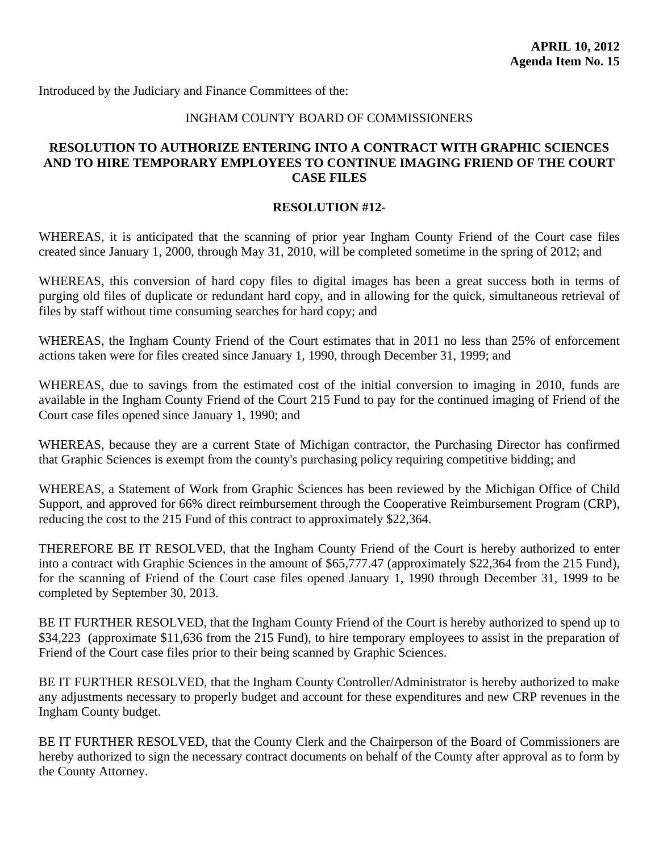<span id="page-39-0"></span>Introduced by the Judiciary and Finance Committees of the:

#### INGHAM COUNTY BOARD OF COMMISSIONERS

# **RESOLUTION TO AUTHORIZE ENTERING INTO A CONTRACT WITH GRAPHIC SCIENCES AND TO HIRE TEMPORARY EMPLOYEES TO CONTINUE IMAGING FRIEND OF THE COURT CASE FILES**

#### **RESOLUTION #12-**

WHEREAS, it is anticipated that the scanning of prior year Ingham County Friend of the Court case files created since January 1, 2000, through May 31, 2010, will be completed sometime in the spring of 2012; and

WHEREAS, this conversion of hard copy files to digital images has been a great success both in terms of purging old files of duplicate or redundant hard copy, and in allowing for the quick, simultaneous retrieval of files by staff without time consuming searches for hard copy; and

WHEREAS, the Ingham County Friend of the Court estimates that in 2011 no less than 25% of enforcement actions taken were for files created since January 1, 1990, through December 31, 1999; and

WHEREAS, due to savings from the estimated cost of the initial conversion to imaging in 2010, funds are available in the Ingham County Friend of the Court 215 Fund to pay for the continued imaging of Friend of the Court case files opened since January 1, 1990; and

WHEREAS, because they are a current State of Michigan contractor, the Purchasing Director has confirmed that Graphic Sciences is exempt from the county's purchasing policy requiring competitive bidding; and

WHEREAS, a Statement of Work from Graphic Sciences has been reviewed by the Michigan Office of Child Support, and approved for 66% direct reimbursement through the Cooperative Reimbursement Program (CRP), reducing the cost to the 215 Fund of this contract to approximately \$22,364.

THEREFORE BE IT RESOLVED, that the Ingham County Friend of the Court is hereby authorized to enter into a contract with Graphic Sciences in the amount of \$65,777.47 (approximately \$22,364 from the 215 Fund), for the scanning of Friend of the Court case files opened January 1, 1990 through December 31, 1999 to be completed by September 30, 2013.

BE IT FURTHER RESOLVED, that the Ingham County Friend of the Court is hereby authorized to spend up to \$34,223 (approximate \$11,636 from the 215 Fund), to hire temporary employees to assist in the preparation of Friend of the Court case files prior to their being scanned by Graphic Sciences.

BE IT FURTHER RESOLVED, that the Ingham County Controller/Administrator is hereby authorized to make any adjustments necessary to properly budget and account for these expenditures and new CRP revenues in the Ingham County budget.

BE IT FURTHER RESOLVED, that the County Clerk and the Chairperson of the Board of Commissioners are hereby authorized to sign the necessary contract documents on behalf of the County after approval as to form by the County Attorney.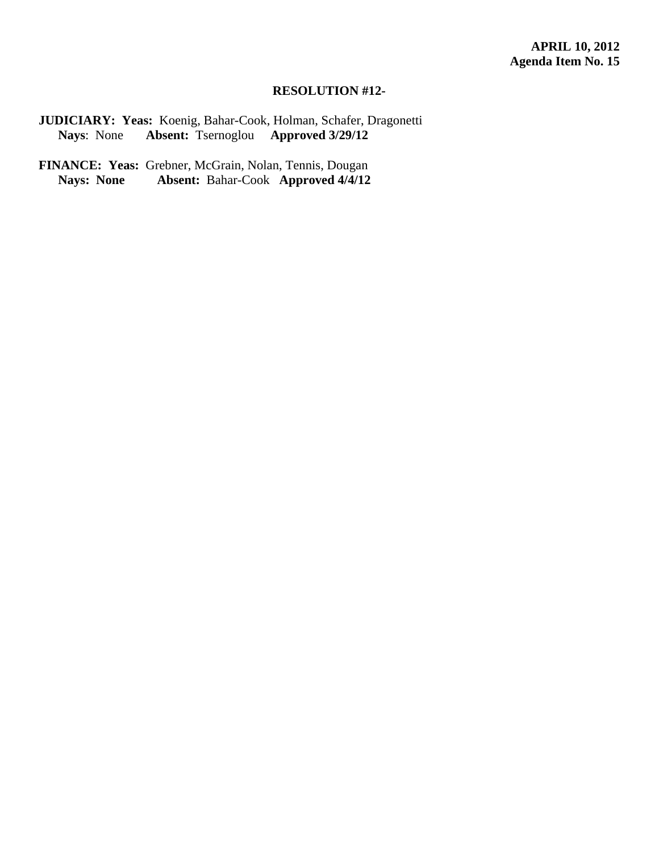#### **RESOLUTION #12-**

**JUDICIARY: Yeas:** Koenig, Bahar-Cook, Holman, Schafer, Dragonetti **Nays**: None **Absent:** Tsernoglou **Approved 3/29/12** 

FINANCE: Yeas: Grebner, McGrain, Nolan, Tennis, Dougan<br>Nays: None Absent: Bahar-Cook Approved 4/4/12  **Absent: Bahar-Cook Approved 4/4/12**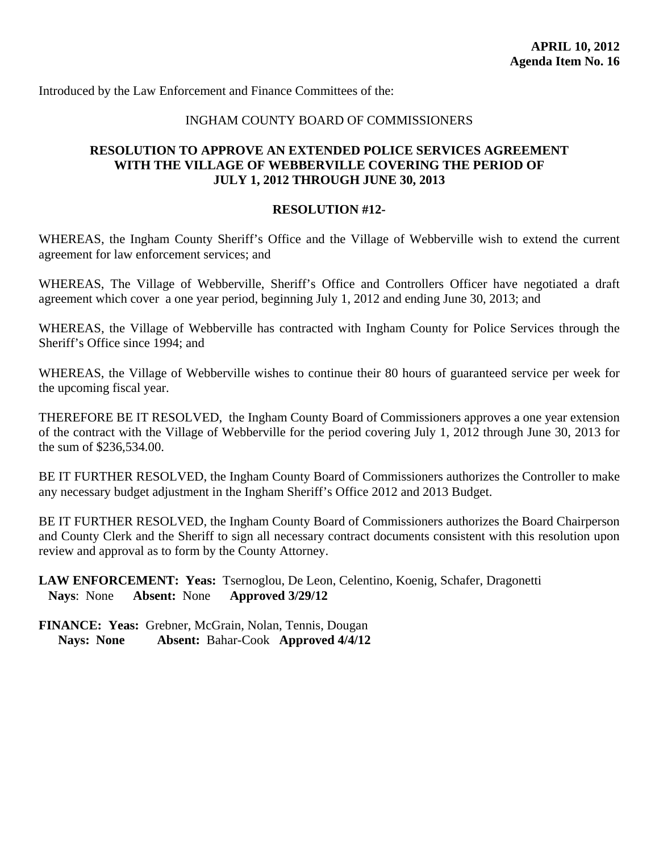<span id="page-41-0"></span>Introduced by the Law Enforcement and Finance Committees of the:

# INGHAM COUNTY BOARD OF COMMISSIONERS

# **RESOLUTION TO APPROVE AN EXTENDED POLICE SERVICES AGREEMENT WITH THE VILLAGE OF WEBBERVILLE COVERING THE PERIOD OF JULY 1, 2012 THROUGH JUNE 30, 2013**

#### **RESOLUTION #12-**

WHEREAS, the Ingham County Sheriff's Office and the Village of Webberville wish to extend the current agreement for law enforcement services; and

WHEREAS, The Village of Webberville, Sheriff's Office and Controllers Officer have negotiated a draft agreement which cover a one year period, beginning July 1, 2012 and ending June 30, 2013; and

WHEREAS, the Village of Webberville has contracted with Ingham County for Police Services through the Sheriff's Office since 1994; and

WHEREAS, the Village of Webberville wishes to continue their 80 hours of guaranteed service per week for the upcoming fiscal year.

THEREFORE BE IT RESOLVED, the Ingham County Board of Commissioners approves a one year extension of the contract with the Village of Webberville for the period covering July 1, 2012 through June 30, 2013 for the sum of \$236,534.00.

BE IT FURTHER RESOLVED, the Ingham County Board of Commissioners authorizes the Controller to make any necessary budget adjustment in the Ingham Sheriff's Office 2012 and 2013 Budget.

BE IT FURTHER RESOLVED, the Ingham County Board of Commissioners authorizes the Board Chairperson and County Clerk and the Sheriff to sign all necessary contract documents consistent with this resolution upon review and approval as to form by the County Attorney.

**LAW ENFORCEMENT: Yeas:** Tsernoglou, De Leon, Celentino, Koenig, Schafer, Dragonetti **Nays**: None **Absent:** None **Approved 3/29/12**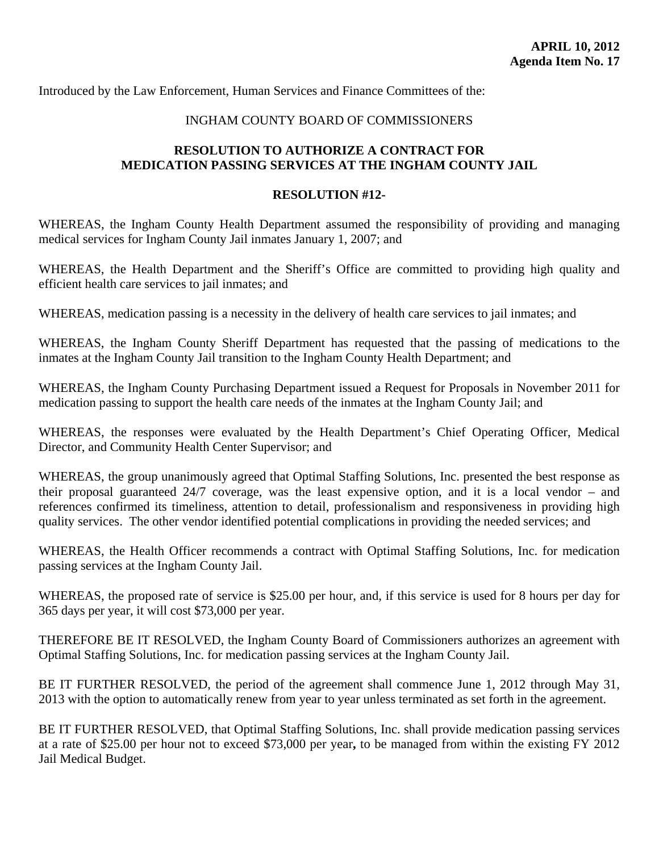<span id="page-42-0"></span>Introduced by the Law Enforcement, Human Services and Finance Committees of the:

#### INGHAM COUNTY BOARD OF COMMISSIONERS

# **RESOLUTION TO AUTHORIZE A CONTRACT FOR MEDICATION PASSING SERVICES AT THE INGHAM COUNTY JAIL**

#### **RESOLUTION #12-**

WHEREAS, the Ingham County Health Department assumed the responsibility of providing and managing medical services for Ingham County Jail inmates January 1, 2007; and

WHEREAS, the Health Department and the Sheriff's Office are committed to providing high quality and efficient health care services to jail inmates; and

WHEREAS, medication passing is a necessity in the delivery of health care services to jail inmates; and

WHEREAS, the Ingham County Sheriff Department has requested that the passing of medications to the inmates at the Ingham County Jail transition to the Ingham County Health Department; and

WHEREAS, the Ingham County Purchasing Department issued a Request for Proposals in November 2011 for medication passing to support the health care needs of the inmates at the Ingham County Jail; and

WHEREAS, the responses were evaluated by the Health Department's Chief Operating Officer, Medical Director, and Community Health Center Supervisor; and

WHEREAS, the group unanimously agreed that Optimal Staffing Solutions, Inc. presented the best response as their proposal guaranteed 24/7 coverage, was the least expensive option, and it is a local vendor – and references confirmed its timeliness, attention to detail, professionalism and responsiveness in providing high quality services. The other vendor identified potential complications in providing the needed services; and

WHEREAS, the Health Officer recommends a contract with Optimal Staffing Solutions, Inc. for medication passing services at the Ingham County Jail.

WHEREAS, the proposed rate of service is \$25.00 per hour, and, if this service is used for 8 hours per day for 365 days per year, it will cost \$73,000 per year.

THEREFORE BE IT RESOLVED, the Ingham County Board of Commissioners authorizes an agreement with Optimal Staffing Solutions, Inc. for medication passing services at the Ingham County Jail.

BE IT FURTHER RESOLVED, the period of the agreement shall commence June 1, 2012 through May 31, 2013 with the option to automatically renew from year to year unless terminated as set forth in the agreement.

BE IT FURTHER RESOLVED, that Optimal Staffing Solutions, Inc. shall provide medication passing services at a rate of \$25.00 per hour not to exceed \$73,000 per year**,** to be managed from within the existing FY 2012 Jail Medical Budget.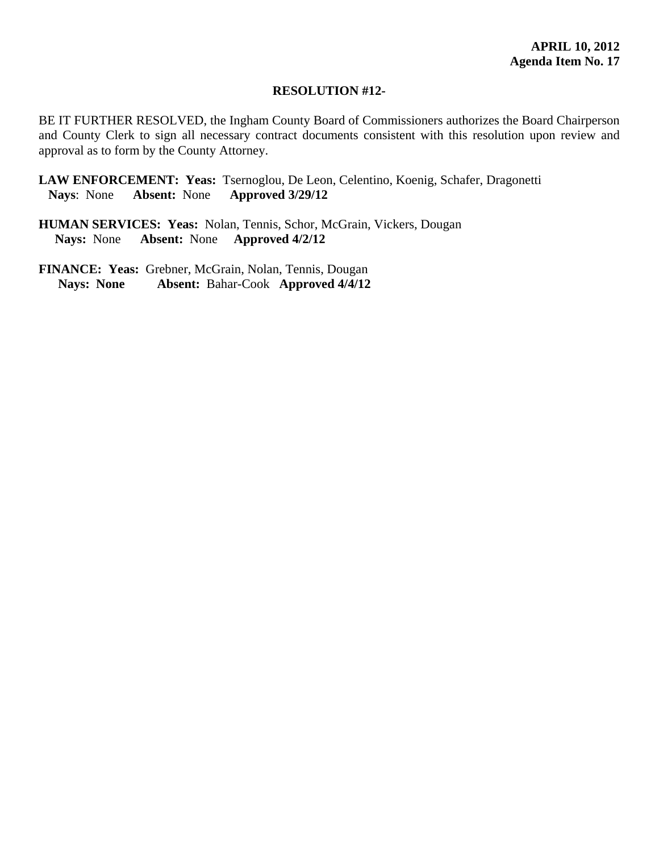#### **RESOLUTION #12-**

BE IT FURTHER RESOLVED, the Ingham County Board of Commissioners authorizes the Board Chairperson and County Clerk to sign all necessary contract documents consistent with this resolution upon review and approval as to form by the County Attorney.

**LAW ENFORCEMENT: Yeas:** Tsernoglou, De Leon, Celentino, Koenig, Schafer, Dragonetti **Nays**: None **Absent:** None **Approved 3/29/12** 

**HUMAN SERVICES: Yeas:** Nolan, Tennis, Schor, McGrain, Vickers, Dougan  **Nays:** None **Absent:** None **Approved 4/2/12**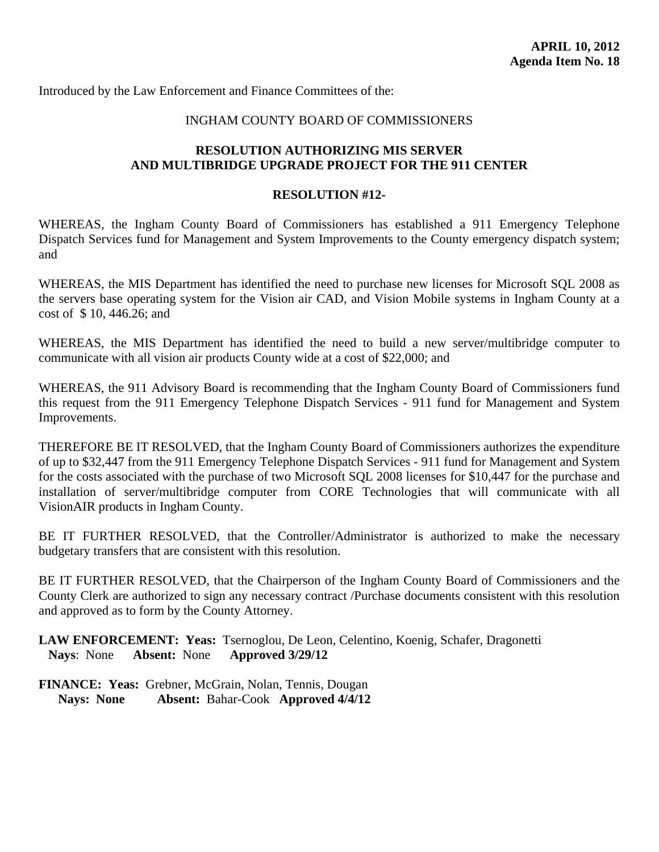<span id="page-44-0"></span>Introduced by the Law Enforcement and Finance Committees of the:

# INGHAM COUNTY BOARD OF COMMISSIONERS

# **RESOLUTION AUTHORIZING MIS SERVER AND MULTIBRIDGE UPGRADE PROJECT FOR THE 911 CENTER**

#### **RESOLUTION #12-**

WHEREAS, the Ingham County Board of Commissioners has established a 911 Emergency Telephone Dispatch Services fund for Management and System Improvements to the County emergency dispatch system; and

WHEREAS, the MIS Department has identified the need to purchase new licenses for Microsoft SQL 2008 as the servers base operating system for the Vision air CAD, and Vision Mobile systems in Ingham County at a cost of \$ 10, 446.26; and

WHEREAS, the MIS Department has identified the need to build a new server/multibridge computer to communicate with all vision air products County wide at a cost of \$22,000; and

WHEREAS, the 911 Advisory Board is recommending that the Ingham County Board of Commissioners fund this request from the 911 Emergency Telephone Dispatch Services - 911 fund for Management and System Improvements.

THEREFORE BE IT RESOLVED, that the Ingham County Board of Commissioners authorizes the expenditure of up to \$32,447 from the 911 Emergency Telephone Dispatch Services - 911 fund for Management and System for the costs associated with the purchase of two Microsoft SQL 2008 licenses for \$10,447 for the purchase and installation of server/multibridge computer from CORE Technologies that will communicate with all VisionAIR products in Ingham County.

BE IT FURTHER RESOLVED, that the Controller/Administrator is authorized to make the necessary budgetary transfers that are consistent with this resolution.

BE IT FURTHER RESOLVED, that the Chairperson of the Ingham County Board of Commissioners and the County Clerk are authorized to sign any necessary contract /Purchase documents consistent with this resolution and approved as to form by the County Attorney.

**LAW ENFORCEMENT: Yeas:** Tsernoglou, De Leon, Celentino, Koenig, Schafer, Dragonetti **Nays**: None **Absent:** None **Approved 3/29/12**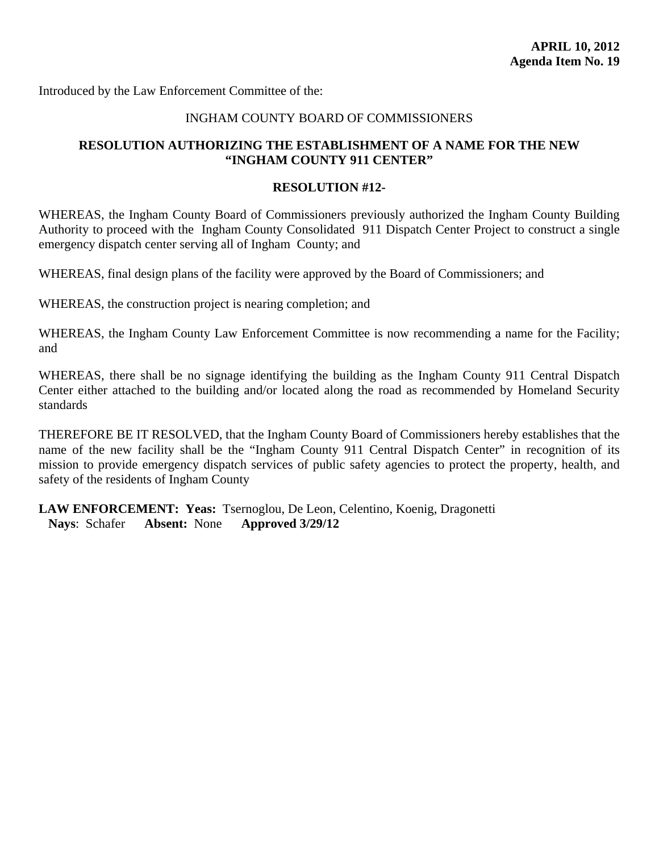<span id="page-45-0"></span>Introduced by the Law Enforcement Committee of the:

#### INGHAM COUNTY BOARD OF COMMISSIONERS

# **RESOLUTION AUTHORIZING THE ESTABLISHMENT OF A NAME FOR THE NEW "INGHAM COUNTY 911 CENTER"**

#### **RESOLUTION #12-**

WHEREAS, the Ingham County Board of Commissioners previously authorized the Ingham County Building Authority to proceed with the Ingham County Consolidated 911 Dispatch Center Project to construct a single emergency dispatch center serving all of Ingham County; and

WHEREAS, final design plans of the facility were approved by the Board of Commissioners; and

WHEREAS, the construction project is nearing completion; and

WHEREAS, the Ingham County Law Enforcement Committee is now recommending a name for the Facility; and

WHEREAS, there shall be no signage identifying the building as the Ingham County 911 Central Dispatch Center either attached to the building and/or located along the road as recommended by Homeland Security standards

THEREFORE BE IT RESOLVED, that the Ingham County Board of Commissioners hereby establishes that the name of the new facility shall be the "Ingham County 911 Central Dispatch Center" in recognition of its mission to provide emergency dispatch services of public safety agencies to protect the property, health, and safety of the residents of Ingham County

**LAW ENFORCEMENT: Yeas:** Tsernoglou, De Leon, Celentino, Koenig, Dragonetti **Nays**: Schafer **Absent:** None **Approved 3/29/12**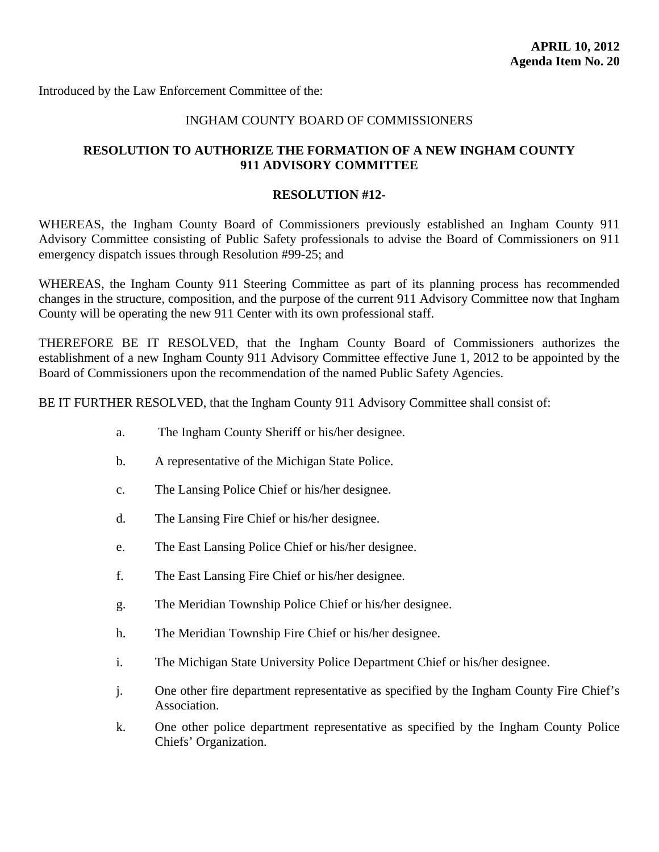<span id="page-46-0"></span>Introduced by the Law Enforcement Committee of the:

# INGHAM COUNTY BOARD OF COMMISSIONERS

# **RESOLUTION TO AUTHORIZE THE FORMATION OF A NEW INGHAM COUNTY 911 ADVISORY COMMITTEE**

#### **RESOLUTION #12-**

WHEREAS, the Ingham County Board of Commissioners previously established an Ingham County 911 Advisory Committee consisting of Public Safety professionals to advise the Board of Commissioners on 911 emergency dispatch issues through Resolution #99-25; and

WHEREAS, the Ingham County 911 Steering Committee as part of its planning process has recommended changes in the structure, composition, and the purpose of the current 911 Advisory Committee now that Ingham County will be operating the new 911 Center with its own professional staff.

THEREFORE BE IT RESOLVED, that the Ingham County Board of Commissioners authorizes the establishment of a new Ingham County 911 Advisory Committee effective June 1, 2012 to be appointed by the Board of Commissioners upon the recommendation of the named Public Safety Agencies.

BE IT FURTHER RESOLVED, that the Ingham County 911 Advisory Committee shall consist of:

- a. The Ingham County Sheriff or his/her designee.
- b. A representative of the Michigan State Police.
- c. The Lansing Police Chief or his/her designee.
- d. The Lansing Fire Chief or his/her designee.
- e. The East Lansing Police Chief or his/her designee.
- f. The East Lansing Fire Chief or his/her designee.
- g. The Meridian Township Police Chief or his/her designee.
- h. The Meridian Township Fire Chief or his/her designee.
- i. The Michigan State University Police Department Chief or his/her designee.
- j. One other fire department representative as specified by the Ingham County Fire Chief's Association.
- k. One other police department representative as specified by the Ingham County Police Chiefs' Organization.